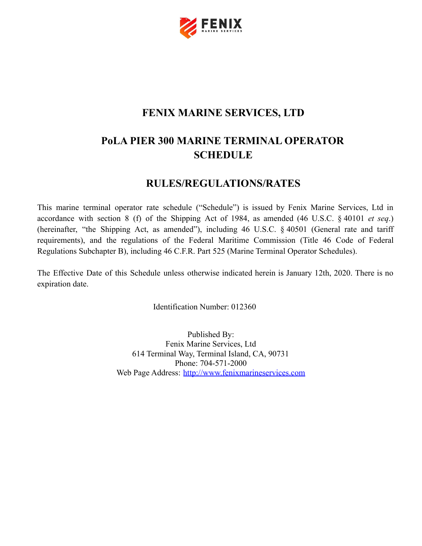

## **FENIX MARINE SERVICES, LTD**

# **PoLA PIER 300 MARINE TERMINAL OPERATOR SCHEDULE**

## **RULES/REGULATIONS/RATES**

This marine terminal operator rate schedule ("Schedule") is issued by Fenix Marine Services, Ltd in accordance with section 8 (f) of the Shipping Act of 1984, as amended (46 U.S.C. § 40101 *et seq*.) (hereinafter, "the Shipping Act, as amended"), including 46 U.S.C. § 40501 (General rate and tariff requirements), and the regulations of the Federal Maritime Commission (Title 46 Code of Federal Regulations Subchapter B), including 46 C.F.R. Part 525 (Marine Terminal Operator Schedules).

The Effective Date of this Schedule unless otherwise indicated herein is January 12th, 2020. There is no expiration date.

Identification Number: 012360

Published By: Fenix Marine Services, Ltd 614 Terminal Way, Terminal Island, CA, 90731 Phone: 704-571-2000 Web Page Address: <http://www.fenixmarineservices.com>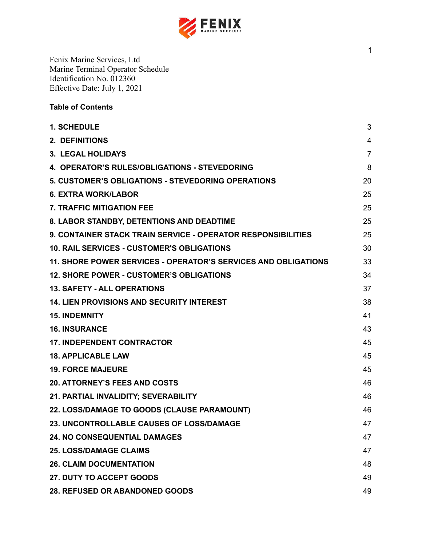

## **Table of Contents**

| <b>1. SCHEDULE</b>                                                  | 3              |
|---------------------------------------------------------------------|----------------|
| <b>2. DEFINITIONS</b>                                               | $\overline{4}$ |
| 3. LEGAL HOLIDAYS                                                   | $\overline{7}$ |
| 4. OPERATOR'S RULES/OBLIGATIONS - STEVEDORING                       | 8              |
| 5. CUSTOMER'S OBLIGATIONS - STEVEDORING OPERATIONS                  | 20             |
| <b>6. EXTRA WORK/LABOR</b>                                          | 25             |
| <b>7. TRAFFIC MITIGATION FEE</b>                                    | 25             |
| 8. LABOR STANDBY, DETENTIONS AND DEADTIME                           | 25             |
| <b>9. CONTAINER STACK TRAIN SERVICE - OPERATOR RESPONSIBILITIES</b> | 25             |
| <b>10. RAIL SERVICES - CUSTOMER'S OBLIGATIONS</b>                   | 30             |
| 11. SHORE POWER SERVICES - OPERATOR'S SERVICES AND OBLIGATIONS      | 33             |
| <b>12. SHORE POWER - CUSTOMER'S OBLIGATIONS</b>                     | 34             |
| <b>13. SAFETY - ALL OPERATIONS</b>                                  | 37             |
| <b>14. LIEN PROVISIONS AND SECURITY INTEREST</b>                    | 38             |
| <b>15. INDEMNITY</b>                                                | 41             |
| <b>16. INSURANCE</b>                                                | 43             |
| <b>17. INDEPENDENT CONTRACTOR</b>                                   | 45             |
| <b>18. APPLICABLE LAW</b>                                           | 45             |
| <b>19. FORCE MAJEURE</b>                                            | 45             |
| <b>20. ATTORNEY'S FEES AND COSTS</b>                                | 46             |
| 21. PARTIAL INVALIDITY; SEVERABILITY                                | 46             |
| 22. LOSS/DAMAGE TO GOODS (CLAUSE PARAMOUNT)                         | 46             |
| 23. UNCONTROLLABLE CAUSES OF LOSS/DAMAGE                            | 47             |
| <b>24. NO CONSEQUENTIAL DAMAGES</b>                                 | 47             |
| <b>25. LOSS/DAMAGE CLAIMS</b>                                       | 47             |
| <b>26. CLAIM DOCUMENTATION</b>                                      | 48             |
| <b>27. DUTY TO ACCEPT GOODS</b>                                     | 49             |
| 28. REFUSED OR ABANDONED GOODS                                      | 49             |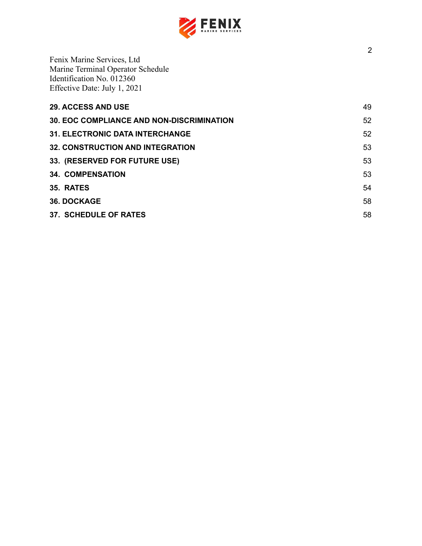

| <b>29. ACCESS AND USE</b>                        | 49 |
|--------------------------------------------------|----|
| <b>30. EOC COMPLIANCE AND NON-DISCRIMINATION</b> | 52 |
| <b>31. ELECTRONIC DATA INTERCHANGE</b>           | 52 |
| <b>32. CONSTRUCTION AND INTEGRATION</b>          | 53 |
| 33. (RESERVED FOR FUTURE USE)                    | 53 |
| <b>34. COMPENSATION</b>                          | 53 |
| 35. RATES                                        | 54 |
| <b>36. DOCKAGE</b>                               | 58 |
| <b>37. SCHEDULE OF RATES</b>                     | 58 |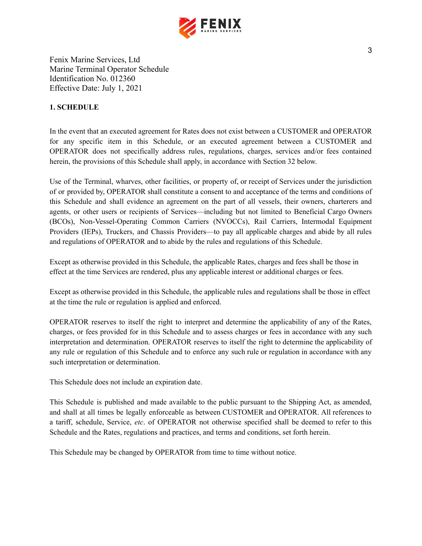

## <span id="page-3-0"></span>**1. SCHEDULE**

In the event that an executed agreement for Rates does not exist between a CUSTOMER and OPERATOR for any specific item in this Schedule, or an executed agreement between a CUSTOMER and OPERATOR does not specifically address rules, regulations, charges, services and/or fees contained herein, the provisions of this Schedule shall apply, in accordance with Section 32 below.

Use of the Terminal, wharves, other facilities, or property of, or receipt of Services under the jurisdiction of or provided by, OPERATOR shall constitute a consent to and acceptance of the terms and conditions of this Schedule and shall evidence an agreement on the part of all vessels, their owners, charterers and agents, or other users or recipients of Services—including but not limited to Beneficial Cargo Owners (BCOs), Non-Vessel-Operating Common Carriers (NVOCCs), Rail Carriers, Intermodal Equipment Providers (IEPs), Truckers, and Chassis Providers—to pay all applicable charges and abide by all rules and regulations of OPERATOR and to abide by the rules and regulations of this Schedule.

Except as otherwise provided in this Schedule, the applicable Rates, charges and fees shall be those in effect at the time Services are rendered, plus any applicable interest or additional charges or fees.

Except as otherwise provided in this Schedule, the applicable rules and regulations shall be those in effect at the time the rule or regulation is applied and enforced.

OPERATOR reserves to itself the right to interpret and determine the applicability of any of the Rates, charges, or fees provided for in this Schedule and to assess charges or fees in accordance with any such interpretation and determination. OPERATOR reserves to itself the right to determine the applicability of any rule or regulation of this Schedule and to enforce any such rule or regulation in accordance with any such interpretation or determination.

This Schedule does not include an expiration date.

This Schedule is published and made available to the public pursuant to the Shipping Act, as amended, and shall at all times be legally enforceable as between CUSTOMER and OPERATOR. All references to a tariff, schedule, Service, *etc*. of OPERATOR not otherwise specified shall be deemed to refer to this Schedule and the Rates, regulations and practices, and terms and conditions, set forth herein.

This Schedule may be changed by OPERATOR from time to time without notice.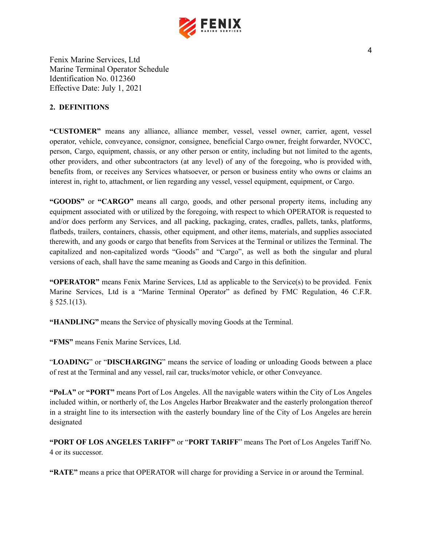

## <span id="page-4-0"></span>**2. DEFINITIONS**

**"CUSTOMER"** means any alliance, alliance member, vessel, vessel owner, carrier, agent, vessel operator, vehicle, conveyance, consignor, consignee, beneficial Cargo owner, freight forwarder, NVOCC, person, Cargo, equipment, chassis, or any other person or entity, including but not limited to the agents, other providers, and other subcontractors (at any level) of any of the foregoing, who is provided with, benefits from, or receives any Services whatsoever, or person or business entity who owns or claims an interest in, right to, attachment, or lien regarding any vessel, vessel equipment, equipment, or Cargo.

**"GOODS"** or **"CARGO"** means all cargo, goods, and other personal property items, including any equipment associated with or utilized by the foregoing, with respect to which OPERATOR is requested to and/or does perform any Services, and all packing, packaging, crates, cradles, pallets, tanks, platforms, flatbeds, trailers, containers, chassis, other equipment, and other items, materials, and supplies associated therewith, and any goods or cargo that benefits from Services at the Terminal or utilizes the Terminal. The capitalized and non-capitalized words "Goods" and "Cargo", as well as both the singular and plural versions of each, shall have the same meaning as Goods and Cargo in this definition.

**"OPERATOR"** means Fenix Marine Services, Ltd as applicable to the Service(s) to be provided. Fenix Marine Services, Ltd is a "Marine Terminal Operator" as defined by FMC Regulation, 46 C.F.R.  $§$  525.1(13).

**"HANDLING"** means the Service of physically moving Goods at the Terminal.

**"FMS"** means Fenix Marine Services, Ltd.

"**LOADING**" or "**DISCHARGING**" means the service of loading or unloading Goods between a place of rest at the Terminal and any vessel, rail car, trucks/motor vehicle, or other Conveyance.

**"PoLA"** or **"PORT"** means Port of Los Angeles. All the navigable waters within the City of Los Angeles included within, or northerly of, the Los Angeles Harbor Breakwater and the easterly prolongation thereof in a straight line to its intersection with the easterly boundary line of the City of Los Angeles are herein designated

**"PORT OF LOS ANGELES TARIFF"** or "**PORT TARIFF**" means The Port of Los Angeles Tariff No. 4 or its successor.

**"RATE"** means a price that OPERATOR will charge for providing a Service in or around the Terminal.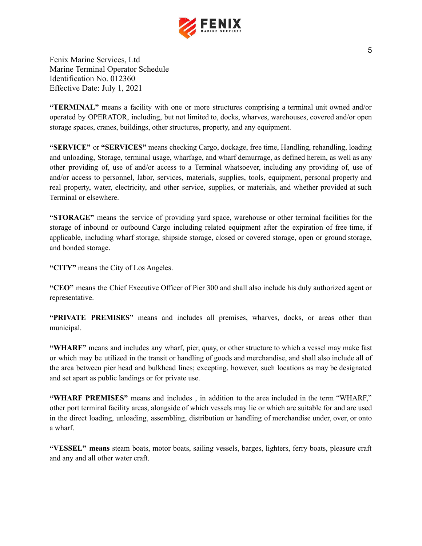

**"TERMINAL"** means a facility with one or more structures comprising a terminal unit owned and/or operated by OPERATOR, including, but not limited to, docks, wharves, warehouses, covered and/or open storage spaces, cranes, buildings, other structures, property, and any equipment.

**"SERVICE"** or **"SERVICES"** means checking Cargo, dockage, free time, Handling, rehandling, loading and unloading, Storage, terminal usage, wharfage, and wharf demurrage, as defined herein, as well as any other providing of, use of and/or access to a Terminal whatsoever, including any providing of, use of and/or access to personnel, labor, services, materials, supplies, tools, equipment, personal property and real property, water, electricity, and other service, supplies, or materials, and whether provided at such Terminal or elsewhere.

**"STORAGE"** means the service of providing yard space, warehouse or other terminal facilities for the storage of inbound or outbound Cargo including related equipment after the expiration of free time, if applicable, including wharf storage, shipside storage, closed or covered storage, open or ground storage, and bonded storage.

**"CITY"** means the City of Los Angeles.

**"CEO"** means the Chief Executive Officer of Pier 300 and shall also include his duly authorized agent or representative.

**"PRIVATE PREMISES"** means and includes all premises, wharves, docks, or areas other than municipal.

**"WHARF"** means and includes any wharf, pier, quay, or other structure to which a vessel may make fast or which may be utilized in the transit or handling of goods and merchandise, and shall also include all of the area between pier head and bulkhead lines; excepting, however, such locations as may be designated and set apart as public landings or for private use.

**"WHARF PREMISES"** means and includes , in addition to the area included in the term "WHARF," other port terminal facility areas, alongside of which vessels may lie or which are suitable for and are used in the direct loading, unloading, assembling, distribution or handling of merchandise under, over, or onto a wharf.

**"VESSEL" means** steam boats, motor boats, sailing vessels, barges, lighters, ferry boats, pleasure craft and any and all other water craft.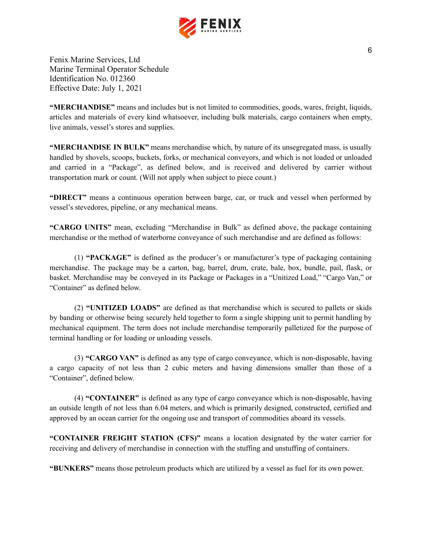

**"MERCHANDISE"** means and includes but is not limited to commodities, goods, wares, freight, liquids, articles and materials of every kind whatsoever, including bulk materials, cargo containers when empty, live animals, vessel's stores and supplies.

**"MERCHANDISE IN BULK"** means merchandise which, by nature of its unsegregated mass, is usually handled by shovels, scoops, buckets, forks, or mechanical conveyors, and which is not loaded or unloaded and carried in a "Package", as defined below, and is received and delivered by carrier without transportation mark or count. (Will not apply when subject to piece count.)

**"DIRECT"** means a continuous operation between barge, car, or truck and vessel when performed by vessel's stevedores, pipeline, or any mechanical means.

**"CARGO UNITS"** mean, excluding "Merchandise in Bulk" as defined above, the package containing merchandise or the method of waterborne conveyance of such merchandise and are defined as follows:

(1) **"PACKAGE"** is defined as the producer's or manufacturer's type of packaging containing merchandise. The package may be a carton, bag, barrel, drum, crate, bale, box, bundle, pail, flask, or basket. Merchandise may be conveyed in its Package or Packages in a "Unitized Load," "Cargo Van," or "Container" as defined below.

(2) **"UNITIZED LOADS"** are defined as that merchandise which is secured to pallets or skids by banding or otherwise being securely held together to form a single shipping unit to permit handling by mechanical equipment. The term does not include merchandise temporarily palletized for the purpose of terminal handling or for loading or unloading vessels.

(3) **"CARGO VAN"** is defined as any type of cargo conveyance, which is non-disposable, having a cargo capacity of not less than 2 cubic meters and having dimensions smaller than those of a "Container", defined below.

(4) **"CONTAINER"** is defined as any type of cargo conveyance which is non-disposable, having an outside length of not less than 6.04 meters, and which is primarily designed, constructed, certified and approved by an ocean carrier for the ongoing use and transport of commodities aboard its vessels.

**"CONTAINER FREIGHT STATION (CFS)"** means a location designated by the water carrier for receiving and delivery of merchandise in connection with the stuffing and unstuffing of containers.

**"BUNKERS"** means those petroleum products which are utilized by a vessel as fuel for its own power.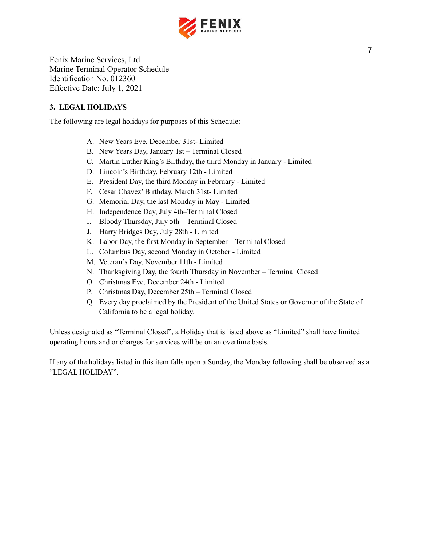

## <span id="page-7-0"></span>**3. LEGAL HOLIDAYS**

The following are legal holidays for purposes of this Schedule:

- A. New Years Eve, December 31st- Limited
- B. New Years Day, January 1st Terminal Closed
- C. Martin Luther King's Birthday, the third Monday in January Limited
- D. Lincoln's Birthday, February 12th Limited
- E. President Day, the third Monday in February Limited
- F. Cesar Chavez' Birthday, March 31st- Limited
- G. Memorial Day, the last Monday in May Limited
- H. Independence Day, July 4th–Terminal Closed
- I. Bloody Thursday, July 5th Terminal Closed
- J. Harry Bridges Day, July 28th Limited
- K. Labor Day, the first Monday in September Terminal Closed
- L. Columbus Day, second Monday in October Limited
- M. Veteran's Day, November 11th Limited
- N. Thanksgiving Day, the fourth Thursday in November Terminal Closed
- O. Christmas Eve, December 24th Limited
- P. Christmas Day, December 25th Terminal Closed
- Q. Every day proclaimed by the President of the United States or Governor of the State of California to be a legal holiday.

Unless designated as "Terminal Closed", a Holiday that is listed above as "Limited" shall have limited operating hours and or charges for services will be on an overtime basis.

If any of the holidays listed in this item falls upon a Sunday, the Monday following shall be observed as a "LEGAL HOLIDAY".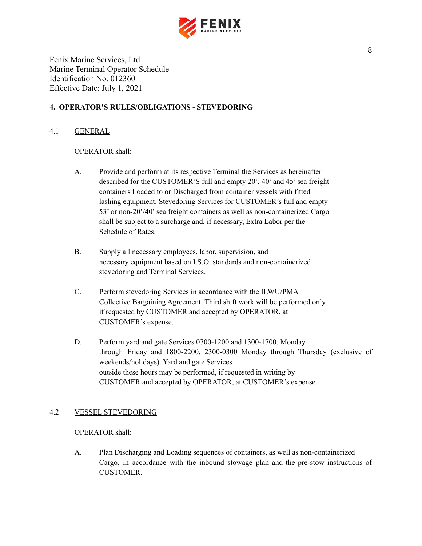

## <span id="page-8-0"></span>**4. OPERATOR'S RULES/OBLIGATIONS - STEVEDORING**

## 4.1 GENERAL

## OPERATOR shall:

- A. Provide and perform at its respective Terminal the Services as hereinafter described for the CUSTOMER'S full and empty 20', 40' and 45' sea freight containers Loaded to or Discharged from container vessels with fitted lashing equipment. Stevedoring Services for CUSTOMER's full and empty 53' or non-20'/40'sea freight containers as well as non-containerized Cargo shall be subject to a surcharge and, if necessary, Extra Labor per the Schedule of Rates.
- B. Supply all necessary employees, labor, supervision, and necessary equipment based on I.S.O. standards and non-containerized stevedoring and Terminal Services.
- C. Perform stevedoring Services in accordance with the ILWU/PMA Collective Bargaining Agreement. Third shift work will be performed only if requested by CUSTOMER and accepted by OPERATOR, at CUSTOMER's expense.
- D. Perform yard and gate Services 0700-1200 and 1300-1700, Monday through Friday and 1800-2200, 2300-0300 Monday through Thursday (exclusive of weekends/holidays). Yard and gate Services outside these hours may be performed, if requested in writing by CUSTOMER and accepted by OPERATOR, at CUSTOMER's expense.

## 4.2 VESSEL STEVEDORING

OPERATOR shall:

A. Plan Discharging and Loading sequences of containers, as well as non-containerized Cargo, in accordance with the inbound stowage plan and the pre-stow instructions of CUSTOMER.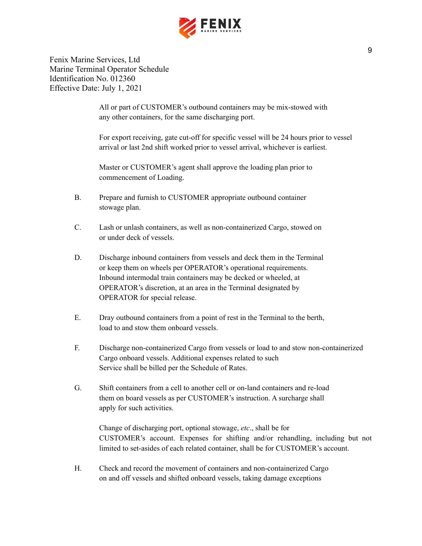

> All or part of CUSTOMER's outbound containers may be mix-stowed with any other containers, for the same discharging port.

For export receiving, gate cut-off for specific vessel will be 24 hours prior to vessel arrival or last 2nd shift worked prior to vessel arrival, whichever is earliest.

Master or CUSTOMER's agent shall approve the loading plan prior to commencement of Loading.

- B. Prepare and furnish to CUSTOMER appropriate outbound container stowage plan.
- C. Lash or unlash containers, as well as non-containerized Cargo, stowed on or under deck of vessels.
- D. Discharge inbound containers from vessels and deck them in the Terminal or keep them on wheels per OPERATOR's operational requirements. Inbound intermodal train containers may be decked or wheeled, at OPERATOR's discretion, at an area in the Terminal designated by OPERATOR for special release.
- E. Dray outbound containers from a point of rest in the Terminal to the berth, load to and stow them onboard vessels.
- F. Discharge non-containerized Cargo from vessels or load to and stow non-containerized Cargo onboard vessels. Additional expenses related to such Service shall be billed per the Schedule of Rates.
- G. Shift containers from a cell to another cell or on-land containers and re-load them on board vessels as per CUSTOMER's instruction. A surcharge shall apply for such activities.

Change of discharging port, optional stowage, *etc*., shall be for CUSTOMER's account. Expenses for shifting and/or rehandling, including but not limited to set-asides of each related container, shall be for CUSTOMER's account.

H. Check and record the movement of containers and non-containerized Cargo on and off vessels and shifted onboard vessels, taking damage exceptions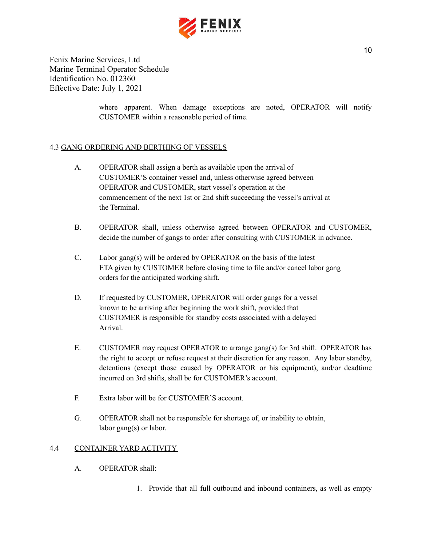

> where apparent. When damage exceptions are noted, OPERATOR will notify CUSTOMER within a reasonable period of time.

## 4.3 GANG ORDERING AND BERTHING OF VESSELS

- A. OPERATOR shall assign a berth as available upon the arrival of CUSTOMER'S container vessel and, unless otherwise agreed between OPERATOR and CUSTOMER, start vessel's operation at the commencement of the next 1st or 2nd shift succeeding the vessel's arrival at the Terminal.
- B. OPERATOR shall, unless otherwise agreed between OPERATOR and CUSTOMER, decide the number of gangs to order after consulting with CUSTOMER in advance.
- C. Labor gang(s) will be ordered by OPERATOR on the basis of the latest ETA given by CUSTOMER before closing time to file and/or cancel labor gang orders for the anticipated working shift.
- D. If requested by CUSTOMER, OPERATOR will order gangs for a vessel known to be arriving after beginning the work shift, provided that CUSTOMER is responsible for standby costs associated with a delayed Arrival.
- E. CUSTOMER may request OPERATOR to arrange gang(s) for 3rd shift. OPERATOR has the right to accept or refuse request at their discretion for any reason. Any labor standby, detentions (except those caused by OPERATOR or his equipment), and/or deadtime incurred on 3rd shifts, shall be for CUSTOMER's account.
- F. Extra labor will be for CUSTOMER'S account.
- G. OPERATOR shall not be responsible for shortage of, or inability to obtain, labor gang(s) or labor.

#### 4.4 CONTAINER YARD ACTIVITY

- A. OPERATOR shall:
	- 1. Provide that all full outbound and inbound containers, as well as empty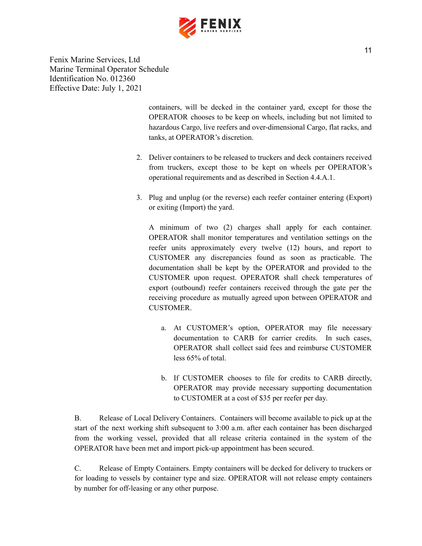

> containers, will be decked in the container yard, except for those the OPERATOR chooses to be keep on wheels, including but not limited to hazardous Cargo, live reefers and over-dimensional Cargo, flat racks, and tanks, at OPERATOR's discretion.

- 2. Deliver containers to be released to truckers and deck containers received from truckers, except those to be kept on wheels per OPERATOR's operational requirements and as described in Section 4.4.A.1.
- 3. Plug and unplug (or the reverse) each reefer container entering (Export) or exiting (Import) the yard.

A minimum of two (2) charges shall apply for each container. OPERATOR shall monitor temperatures and ventilation settings on the reefer units approximately every twelve (12) hours, and report to CUSTOMER any discrepancies found as soon as practicable. The documentation shall be kept by the OPERATOR and provided to the CUSTOMER upon request. OPERATOR shall check temperatures of export (outbound) reefer containers received through the gate per the receiving procedure as mutually agreed upon between OPERATOR and CUSTOMER.

- a. At CUSTOMER's option, OPERATOR may file necessary documentation to CARB for carrier credits. In such cases, OPERATOR shall collect said fees and reimburse CUSTOMER less 65% of total.
- b. If CUSTOMER chooses to file for credits to CARB directly, OPERATOR may provide necessary supporting documentation to CUSTOMER at a cost of \$35 per reefer per day.

B. Release of Local Delivery Containers. Containers will become available to pick up at the start of the next working shift subsequent to 3:00 a.m. after each container has been discharged from the working vessel, provided that all release criteria contained in the system of the OPERATOR have been met and import pick-up appointment has been secured.

C. Release of Empty Containers. Empty containers will be decked for delivery to truckers or for loading to vessels by container type and size. OPERATOR will not release empty containers by number for off-leasing or any other purpose.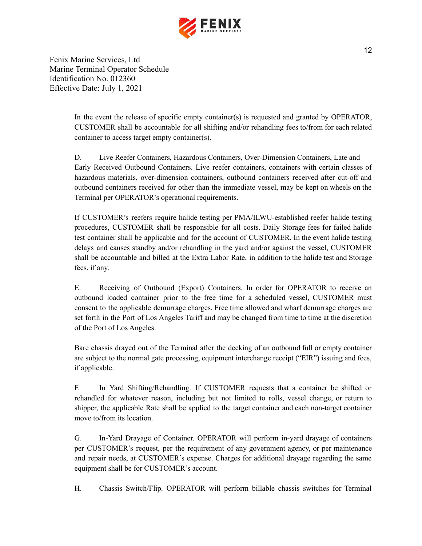

> In the event the release of specific empty container(s) is requested and granted by OPERATOR, CUSTOMER shall be accountable for all shifting and/or rehandling fees to/from for each related container to access target empty container(s).

> D. Live Reefer Containers, Hazardous Containers, Over-Dimension Containers, Late and Early Received Outbound Containers. Live reefer containers, containers with certain classes of hazardous materials, over-dimension containers, outbound containers received after cut-off and outbound containers received for other than the immediate vessel, may be kept on wheels on the Terminal per OPERATOR's operational requirements.

> If CUSTOMER's reefers require halide testing per PMA/ILWU-established reefer halide testing procedures, CUSTOMER shall be responsible for all costs. Daily Storage fees for failed halide test container shall be applicable and for the account of CUSTOMER. In the event halide testing delays and causes standby and/or rehandling in the yard and/or against the vessel, CUSTOMER shall be accountable and billed at the Extra Labor Rate, in addition to the halide test and Storage fees, if any.

> E. Receiving of Outbound (Export) Containers. In order for OPERATOR to receive an outbound loaded container prior to the free time for a scheduled vessel, CUSTOMER must consent to the applicable demurrage charges. Free time allowed and wharf demurrage charges are set forth in the Port of Los Angeles Tariff and may be changed from time to time at the discretion of the Port of Los Angeles.

> Bare chassis drayed out of the Terminal after the decking of an outbound full or empty container are subject to the normal gate processing, equipment interchange receipt ("EIR") issuing and fees, if applicable.

> F. In Yard Shifting/Rehandling. If CUSTOMER requests that a container be shifted or rehandled for whatever reason, including but not limited to rolls, vessel change, or return to shipper, the applicable Rate shall be applied to the target container and each non-target container move to/from its location.

> G. In-Yard Drayage of Container. OPERATOR will perform in-yard drayage of containers per CUSTOMER's request, per the requirement of any government agency, or per maintenance and repair needs, at CUSTOMER's expense. Charges for additional drayage regarding the same equipment shall be for CUSTOMER's account.

> H. Chassis Switch/Flip. OPERATOR will perform billable chassis switches for Terminal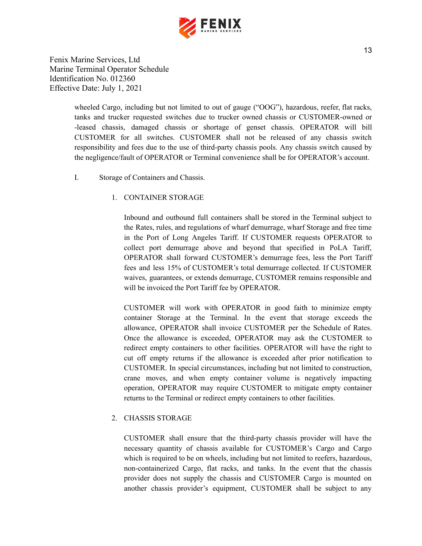

> wheeled Cargo, including but not limited to out of gauge ("OOG"), hazardous, reefer, flat racks, tanks and trucker requested switches due to trucker owned chassis or CUSTOMER-owned or -leased chassis, damaged chassis or shortage of genset chassis. OPERATOR will bill CUSTOMER for all switches. CUSTOMER shall not be released of any chassis switch responsibility and fees due to the use of third-party chassis pools. Any chassis switch caused by the negligence/fault of OPERATOR or Terminal convenience shall be for OPERATOR's account.

I. Storage of Containers and Chassis.

## 1. CONTAINER STORAGE

Inbound and outbound full containers shall be stored in the Terminal subject to the Rates, rules, and regulations of wharf demurrage, wharf Storage and free time in the Port of Long Angeles Tariff. If CUSTOMER requests OPERATOR to collect port demurrage above and beyond that specified in PoLA Tariff, OPERATOR shall forward CUSTOMER's demurrage fees, less the Port Tariff fees and less 15% of CUSTOMER's total demurrage collected. If CUSTOMER waives, guarantees, or extends demurrage, CUSTOMER remains responsible and will be invoiced the Port Tariff fee by OPERATOR.

CUSTOMER will work with OPERATOR in good faith to minimize empty container Storage at the Terminal. In the event that storage exceeds the allowance, OPERATOR shall invoice CUSTOMER per the Schedule of Rates. Once the allowance is exceeded, OPERATOR may ask the CUSTOMER to redirect empty containers to other facilities. OPERATOR will have the right to cut off empty returns if the allowance is exceeded after prior notification to CUSTOMER. In special circumstances, including but not limited to construction, crane moves, and when empty container volume is negatively impacting operation, OPERATOR may require CUSTOMER to mitigate empty container returns to the Terminal or redirect empty containers to other facilities.

#### 2. CHASSIS STORAGE

CUSTOMER shall ensure that the third-party chassis provider will have the necessary quantity of chassis available for CUSTOMER's Cargo and Cargo which is required to be on wheels, including but not limited to reefers, hazardous, non-containerized Cargo, flat racks, and tanks. In the event that the chassis provider does not supply the chassis and CUSTOMER Cargo is mounted on another chassis provider's equipment, CUSTOMER shall be subject to any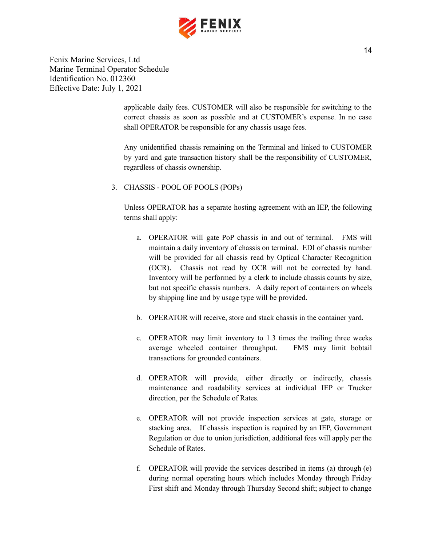

> applicable daily fees. CUSTOMER will also be responsible for switching to the correct chassis as soon as possible and at CUSTOMER's expense. In no case shall OPERATOR be responsible for any chassis usage fees.

> Any unidentified chassis remaining on the Terminal and linked to CUSTOMER by yard and gate transaction history shall be the responsibility of CUSTOMER, regardless of chassis ownership.

3. CHASSIS - POOL OF POOLS (POPs)

Unless OPERATOR has a separate hosting agreement with an IEP, the following terms shall apply:

- a. OPERATOR will gate PoP chassis in and out of terminal. FMS will maintain a daily inventory of chassis on terminal. EDI of chassis number will be provided for all chassis read by Optical Character Recognition (OCR). Chassis not read by OCR will not be corrected by hand. Inventory will be performed by a clerk to include chassis counts by size, but not specific chassis numbers. A daily report of containers on wheels by shipping line and by usage type will be provided.
- b. OPERATOR will receive, store and stack chassis in the container yard.
- c. OPERATOR may limit inventory to 1.3 times the trailing three weeks average wheeled container throughput. FMS may limit bobtail transactions for grounded containers.
- d. OPERATOR will provide, either directly or indirectly, chassis maintenance and roadability services at individual IEP or Trucker direction, per the Schedule of Rates.
- e. OPERATOR will not provide inspection services at gate, storage or stacking area. If chassis inspection is required by an IEP, Government Regulation or due to union jurisdiction, additional fees will apply per the Schedule of Rates.
- f. OPERATOR will provide the services described in items (a) through (e) during normal operating hours which includes Monday through Friday First shift and Monday through Thursday Second shift; subject to change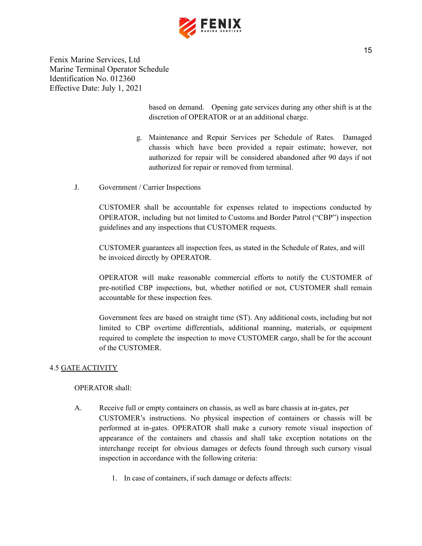

> based on demand. Opening gate services during any other shift is at the discretion of OPERATOR or at an additional charge.

- g. Maintenance and Repair Services per Schedule of Rates. Damaged chassis which have been provided a repair estimate; however, not authorized for repair will be considered abandoned after 90 days if not authorized for repair or removed from terminal.
- J. Government / Carrier Inspections

CUSTOMER shall be accountable for expenses related to inspections conducted by OPERATOR, including but not limited to Customs and Border Patrol ("CBP") inspection guidelines and any inspections that CUSTOMER requests.

CUSTOMER guarantees all inspection fees, as stated in the Schedule of Rates, and will be invoiced directly by OPERATOR.

OPERATOR will make reasonable commercial efforts to notify the CUSTOMER of pre-notified CBP inspections, but, whether notified or not, CUSTOMER shall remain accountable for these inspection fees.

Government fees are based on straight time (ST). Any additional costs, including but not limited to CBP overtime differentials, additional manning, materials, or equipment required to complete the inspection to move CUSTOMER cargo, shall be for the account of the CUSTOMER.

## 4.5 GATE ACTIVITY

## OPERATOR shall:

- A. Receive full or empty containers on chassis, as well as bare chassis at in-gates, per CUSTOMER's instructions. No physical inspection of containers or chassis will be performed at in-gates. OPERATOR shall make a cursory remote visual inspection of appearance of the containers and chassis and shall take exception notations on the interchange receipt for obvious damages or defects found through such cursory visual inspection in accordance with the following criteria:
	- 1. In case of containers, if such damage or defects affects: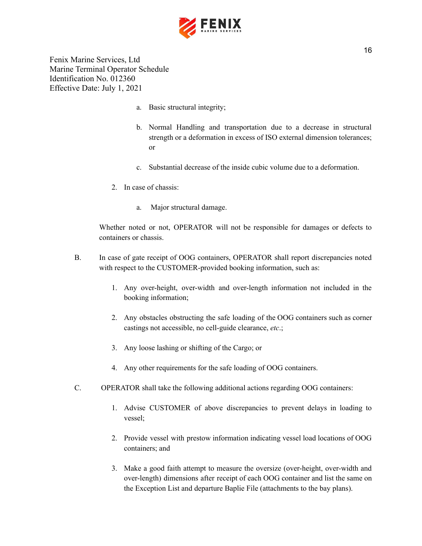

- a. Basic structural integrity;
- b. Normal Handling and transportation due to a decrease in structural strength or a deformation in excess of ISO external dimension tolerances; or
- c. Substantial decrease of the inside cubic volume due to a deformation.
- 2. In case of chassis:
	- a. Major structural damage.

Whether noted or not, OPERATOR will not be responsible for damages or defects to containers or chassis.

- B. In case of gate receipt of OOG containers, OPERATOR shall report discrepancies noted with respect to the CUSTOMER-provided booking information, such as:
	- 1. Any over-height, over-width and over-length information not included in the booking information;
	- 2. Any obstacles obstructing the safe loading of the OOG containers such as corner castings not accessible, no cell-guide clearance, *etc*.;
	- 3. Any loose lashing or shifting of the Cargo; or
	- 4. Any other requirements for the safe loading of OOG containers.
- C. OPERATOR shall take the following additional actions regarding OOG containers:
	- 1. Advise CUSTOMER of above discrepancies to prevent delays in loading to vessel;
	- 2. Provide vessel with prestow information indicating vessel load locations of OOG containers; and
	- 3. Make a good faith attempt to measure the oversize (over-height, over-width and over-length) dimensions after receipt of each OOG container and list the same on the Exception List and departure Baplie File (attachments to the bay plans).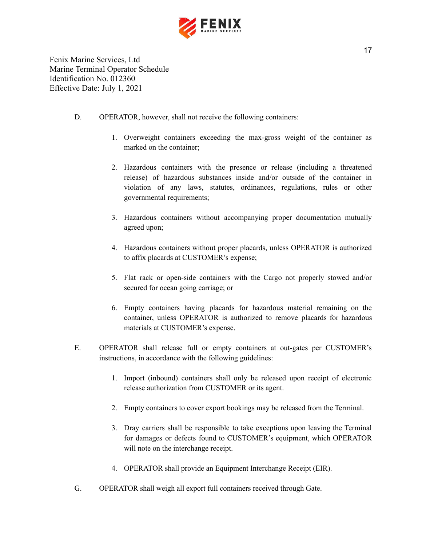

- D. OPERATOR, however, shall not receive the following containers:
	- 1. Overweight containers exceeding the max-gross weight of the container as marked on the container;
	- 2. Hazardous containers with the presence or release (including a threatened release) of hazardous substances inside and/or outside of the container in violation of any laws, statutes, ordinances, regulations, rules or other governmental requirements;
	- 3. Hazardous containers without accompanying proper documentation mutually agreed upon;
	- 4. Hazardous containers without proper placards, unless OPERATOR is authorized to affix placards at CUSTOMER's expense;
	- 5. Flat rack or open-side containers with the Cargo not properly stowed and/or secured for ocean going carriage; or
	- 6. Empty containers having placards for hazardous material remaining on the container, unless OPERATOR is authorized to remove placards for hazardous materials at CUSTOMER's expense.
- E. OPERATOR shall release full or empty containers at out-gates per CUSTOMER's instructions, in accordance with the following guidelines:
	- 1. Import (inbound) containers shall only be released upon receipt of electronic release authorization from CUSTOMER or its agent.
	- 2. Empty containers to cover export bookings may be released from the Terminal.
	- 3. Dray carriers shall be responsible to take exceptions upon leaving the Terminal for damages or defects found to CUSTOMER's equipment, which OPERATOR will note on the interchange receipt.
	- 4. OPERATOR shall provide an Equipment Interchange Receipt (EIR).
- G. OPERATOR shall weigh all export full containers received through Gate.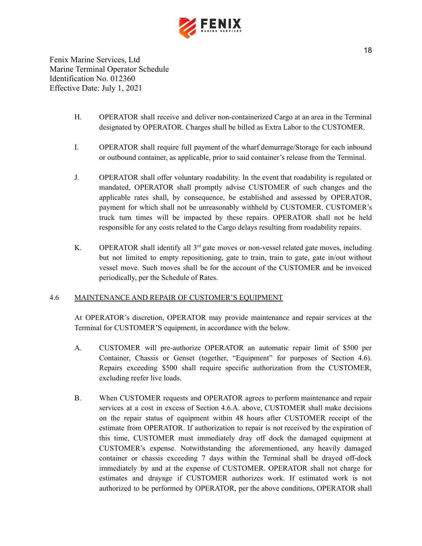

- H. OPERATOR shall receive and deliver non-containerized Cargo at an area in the Terminal designated by OPERATOR. Charges shall be billed as Extra Labor to the CUSTOMER.
- I. OPERATOR shall require full payment of the wharf demurrage/Storage for each inbound or outbound container, as applicable, prior to said container's release from the Terminal.
- J. OPERATOR shall offer voluntary roadability. In the event that roadability is regulated or mandated, OPERATOR shall promptly advise CUSTOMER of such changes and the applicable rates shall, by consequence, be established and assessed by OPERATOR, payment for which shall not be unreasonably withheld by CUSTOMER. CUSTOMER's truck turn times will be impacted by these repairs. OPERATOR shall not be held responsible for any costs related to the Cargo delays resulting from roadability repairs.
- K. OPERATOR shall identify all  $3<sup>rd</sup>$  gate moves or non-vessel related gate moves, including but not limited to empty repositioning, gate to train, train to gate, gate in/out without vessel move. Such moves shall be for the account of the CUSTOMER and be invoiced periodically, per the Schedule of Rates.

#### 4.6 MAINTENANCE AND REPAIR OF CUSTOMER'S EQUIPMENT

At OPERATOR's discretion, OPERATOR may provide maintenance and repair services at the Terminal for CUSTOMER'S equipment, in accordance with the below.

- A. CUSTOMER will pre-authorize OPERATOR an automatic repair limit of \$500 per Container, Chassis or Genset (together, "Equipment" for purposes of Section 4.6). Repairs exceeding \$500 shall require specific authorization from the CUSTOMER, excluding reefer live loads.
- B. When CUSTOMER requests and OPERATOR agrees to perform maintenance and repair services at a cost in excess of Section 4.6.A. above, CUSTOMER shall make decisions on the repair status of equipment within 48 hours after CUSTOMER receipt of the estimate from OPERATOR. If authorization to repair is not received by the expiration of this time, CUSTOMER must immediately dray off dock the damaged equipment at CUSTOMER's expense. Notwithstanding the aforementioned, any heavily damaged container or chassis exceeding 7 days within the Terminal shall be drayed off-dock immediately by and at the expense of CUSTOMER. OPERATOR shall not charge for estimates and drayage if CUSTOMER authorizes work. If estimated work is not authorized to be performed by OPERATOR, per the above conditions, OPERATOR shall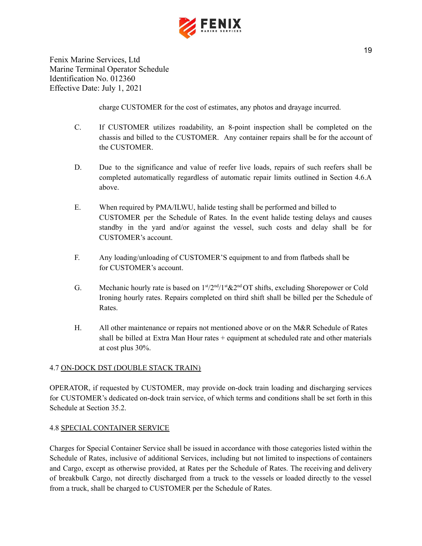

charge CUSTOMER for the cost of estimates, any photos and drayage incurred.

- C. If CUSTOMER utilizes roadability, an 8-point inspection shall be completed on the chassis and billed to the CUSTOMER. Any container repairs shall be for the account of the CUSTOMER.
- D. Due to the significance and value of reefer live loads, repairs of such reefers shall be completed automatically regardless of automatic repair limits outlined in Section 4.6.A above.
- E. When required by PMA/ILWU, halide testing shall be performed and billed to CUSTOMER per the Schedule of Rates. In the event halide testing delays and causes standby in the yard and/or against the vessel, such costs and delay shall be for CUSTOMER's account.
- F. Any loading/unloading of CUSTOMER'S equipment to and from flatbeds shall be for CUSTOMER's account.
- G. Mechanic hourly rate is based on  $1<sup>st</sup>/2<sup>nd</sup>/1<sup>st</sup>$ &2<sup>nd</sup>OT shifts, excluding Shorepower or Cold Ironing hourly rates. Repairs completed on third shift shall be billed per the Schedule of Rates.
- H. All other maintenance or repairs not mentioned above or on the M&R Schedule of Rates shall be billed at Extra Man Hour rates + equipment at scheduled rate and other materials at cost plus 30%.

## 4.7 ON-DOCK DST (DOUBLE STACK TRAIN)

OPERATOR, if requested by CUSTOMER, may provide on-dock train loading and discharging services for CUSTOMER's dedicated on-dock train service, of which terms and conditions shall be set forth in this Schedule at Section 35.2.

#### 4.8 SPECIAL CONTAINER SERVICE

Charges for Special Container Service shall be issued in accordance with those categories listed within the Schedule of Rates, inclusive of additional Services, including but not limited to inspections of containers and Cargo, except as otherwise provided, at Rates per the Schedule of Rates. The receiving and delivery of breakbulk Cargo, not directly discharged from a truck to the vessels or loaded directly to the vessel from a truck, shall be charged to CUSTOMER per the Schedule of Rates.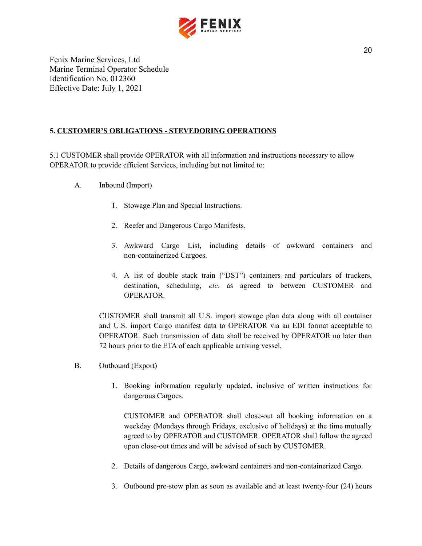

## <span id="page-20-0"></span>**5. CUSTOMER'S OBLIGATIONS - STEVEDORING OPERATIONS**

5.1 CUSTOMER shall provide OPERATOR with all information and instructions necessary to allow OPERATOR to provide efficient Services, including but not limited to:

- A. Inbound (Import)
	- 1. Stowage Plan and Special Instructions.
	- 2. Reefer and Dangerous Cargo Manifests.
	- 3. Awkward Cargo List, including details of awkward containers and non-containerized Cargoes.
	- 4. A list of double stack train ("DST") containers and particulars of truckers, destination, scheduling, *etc*. as agreed to between CUSTOMER and OPERATOR.

CUSTOMER shall transmit all U.S. import stowage plan data along with all container and U.S. import Cargo manifest data to OPERATOR via an EDI format acceptable to OPERATOR. Such transmission of data shall be received by OPERATOR no later than 72 hours prior to the ETA of each applicable arriving vessel.

- B. Outbound (Export)
	- 1. Booking information regularly updated, inclusive of written instructions for dangerous Cargoes.

CUSTOMER and OPERATOR shall close-out all booking information on a weekday (Mondays through Fridays, exclusive of holidays) at the time mutually agreed to by OPERATOR and CUSTOMER. OPERATOR shall follow the agreed upon close-out times and will be advised of such by CUSTOMER.

- 2. Details of dangerous Cargo, awkward containers and non-containerized Cargo.
- 3. Outbound pre-stow plan as soon as available and at least twenty-four (24) hours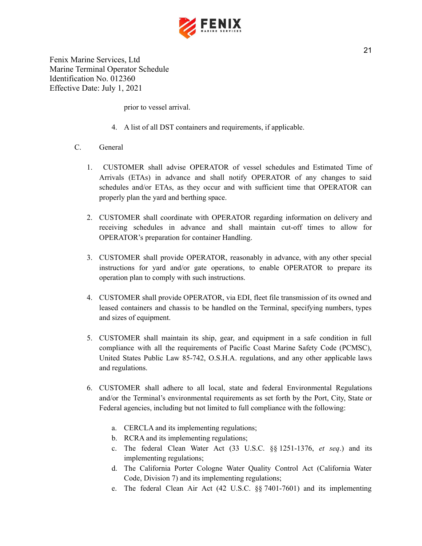

prior to vessel arrival.

- 4. A list of all DST containers and requirements, if applicable.
- C. General
	- 1. CUSTOMER shall advise OPERATOR of vessel schedules and Estimated Time of Arrivals (ETAs) in advance and shall notify OPERATOR of any changes to said schedules and/or ETAs, as they occur and with sufficient time that OPERATOR can properly plan the yard and berthing space.
	- 2. CUSTOMER shall coordinate with OPERATOR regarding information on delivery and receiving schedules in advance and shall maintain cut-off times to allow for OPERATOR's preparation for container Handling.
	- 3. CUSTOMER shall provide OPERATOR, reasonably in advance, with any other special instructions for yard and/or gate operations, to enable OPERATOR to prepare its operation plan to comply with such instructions.
	- 4. CUSTOMER shall provide OPERATOR, via EDI, fleet file transmission of its owned and leased containers and chassis to be handled on the Terminal, specifying numbers, types and sizes of equipment.
	- 5. CUSTOMER shall maintain its ship, gear, and equipment in a safe condition in full compliance with all the requirements of Pacific Coast Marine Safety Code (PCMSC), United States Public Law 85-742, O.S.H.A. regulations, and any other applicable laws and regulations.
	- 6. CUSTOMER shall adhere to all local, state and federal Environmental Regulations and/or the Terminal's environmental requirements as set forth by the Port, City, State or Federal agencies, including but not limited to full compliance with the following:
		- a. CERCLA and its implementing regulations;
		- b. RCRA and its implementing regulations;
		- c. The federal Clean Water Act (33 U.S.C. §§ 1251-1376, *et seq*.) and its implementing regulations;
		- d. The California Porter Cologne Water Quality Control Act (California Water Code, Division 7) and its implementing regulations;
		- e. The federal Clean Air Act (42 U.S.C. §§ 7401-7601) and its implementing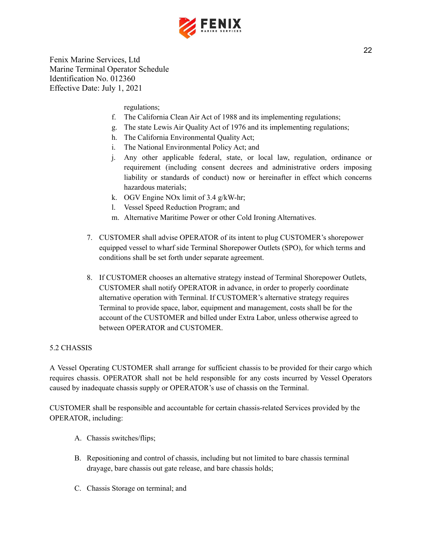

regulations;

- f. The California Clean Air Act of 1988 and its implementing regulations;
- g. The state Lewis Air Quality Act of 1976 and its implementing regulations;
- h. The California Environmental Quality Act;
- i. The National Environmental Policy Act; and
- j. Any other applicable federal, state, or local law, regulation, ordinance or requirement (including consent decrees and administrative orders imposing liability or standards of conduct) now or hereinafter in effect which concerns hazardous materials;
- k. OGV Engine NOx limit of 3.4 g/kW-hr;
- l. Vessel Speed Reduction Program; and
- m. Alternative Maritime Power or other Cold Ironing Alternatives.
- 7. CUSTOMER shall advise OPERATOR of its intent to plug CUSTOMER's shorepower equipped vessel to wharf side Terminal Shorepower Outlets (SPO), for which terms and conditions shall be set forth under separate agreement.
- 8. If CUSTOMER chooses an alternative strategy instead of Terminal Shorepower Outlets, CUSTOMER shall notify OPERATOR in advance, in order to properly coordinate alternative operation with Terminal. If CUSTOMER's alternative strategy requires Terminal to provide space, labor, equipment and management, costs shall be for the account of the CUSTOMER and billed under Extra Labor, unless otherwise agreed to between OPERATOR and CUSTOMER.

## 5.2 CHASSIS

A Vessel Operating CUSTOMER shall arrange for sufficient chassis to be provided for their cargo which requires chassis. OPERATOR shall not be held responsible for any costs incurred by Vessel Operators caused by inadequate chassis supply or OPERATOR's use of chassis on the Terminal.

CUSTOMER shall be responsible and accountable for certain chassis-related Services provided by the OPERATOR, including:

- A. Chassis switches/flips;
- B. Repositioning and control of chassis, including but not limited to bare chassis terminal drayage, bare chassis out gate release, and bare chassis holds;
- C. Chassis Storage on terminal; and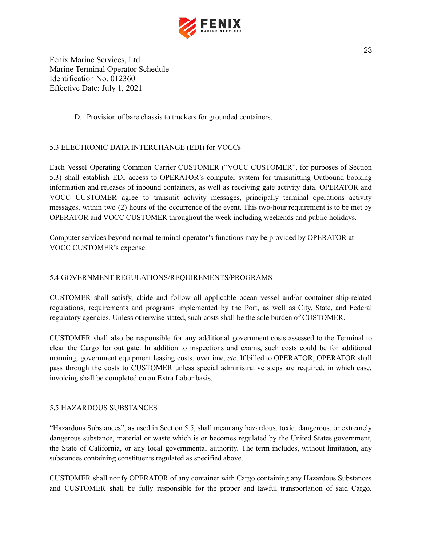

D. Provision of bare chassis to truckers for grounded containers.

## 5.3 ELECTRONIC DATA INTERCHANGE (EDI) for VOCCs

Each Vessel Operating Common Carrier CUSTOMER ("VOCC CUSTOMER", for purposes of Section 5.3) shall establish EDI access to OPERATOR's computer system for transmitting Outbound booking information and releases of inbound containers, as well as receiving gate activity data. OPERATOR and VOCC CUSTOMER agree to transmit activity messages, principally terminal operations activity messages, within two (2) hours of the occurrence of the event. This two-hour requirement is to be met by OPERATOR and VOCC CUSTOMER throughout the week including weekends and public holidays.

Computer services beyond normal terminal operator's functions may be provided by OPERATOR at VOCC CUSTOMER's expense.

## 5.4 GOVERNMENT REGULATIONS/REQUIREMENTS/PROGRAMS

CUSTOMER shall satisfy, abide and follow all applicable ocean vessel and/or container ship-related regulations, requirements and programs implemented by the Port, as well as City, State, and Federal regulatory agencies. Unless otherwise stated, such costs shall be the sole burden of CUSTOMER.

CUSTOMER shall also be responsible for any additional government costs assessed to the Terminal to clear the Cargo for out gate. In addition to inspections and exams, such costs could be for additional manning, government equipment leasing costs, overtime, *etc*. If billed to OPERATOR, OPERATOR shall pass through the costs to CUSTOMER unless special administrative steps are required, in which case, invoicing shall be completed on an Extra Labor basis.

## 5.5 HAZARDOUS SUBSTANCES

"Hazardous Substances", as used in Section 5.5, shall mean any hazardous, toxic, dangerous, or extremely dangerous substance, material or waste which is or becomes regulated by the United States government, the State of California, or any local governmental authority. The term includes, without limitation, any substances containing constituents regulated as specified above.

CUSTOMER shall notify OPERATOR of any container with Cargo containing any Hazardous Substances and CUSTOMER shall be fully responsible for the proper and lawful transportation of said Cargo.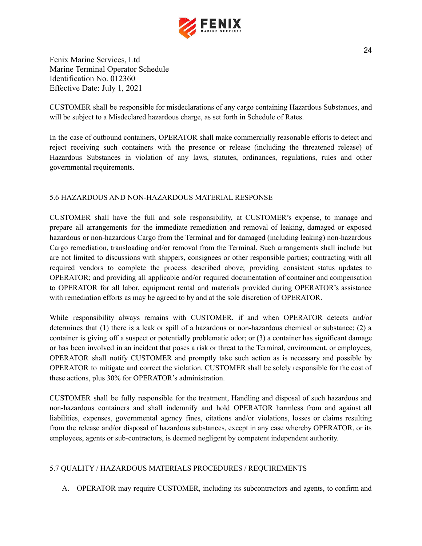

CUSTOMER shall be responsible for misdeclarations of any cargo containing Hazardous Substances, and will be subject to a Misdeclared hazardous charge, as set forth in Schedule of Rates.

In the case of outbound containers, OPERATOR shall make commercially reasonable efforts to detect and reject receiving such containers with the presence or release (including the threatened release) of Hazardous Substances in violation of any laws, statutes, ordinances, regulations, rules and other governmental requirements.

## 5.6 HAZARDOUS AND NON-HAZARDOUS MATERIAL RESPONSE

CUSTOMER shall have the full and sole responsibility, at CUSTOMER's expense, to manage and prepare all arrangements for the immediate remediation and removal of leaking, damaged or exposed hazardous or non-hazardous Cargo from the Terminal and for damaged (including leaking) non-hazardous Cargo remediation, transloading and/or removal from the Terminal. Such arrangements shall include but are not limited to discussions with shippers, consignees or other responsible parties; contracting with all required vendors to complete the process described above; providing consistent status updates to OPERATOR; and providing all applicable and/or required documentation of container and compensation to OPERATOR for all labor, equipment rental and materials provided during OPERATOR's assistance with remediation efforts as may be agreed to by and at the sole discretion of OPERATOR.

While responsibility always remains with CUSTOMER, if and when OPERATOR detects and/or determines that (1) there is a leak or spill of a hazardous or non-hazardous chemical or substance; (2) a container is giving off a suspect or potentially problematic odor; or (3) a container has significant damage or has been involved in an incident that poses a risk or threat to the Terminal, environment, or employees, OPERATOR shall notify CUSTOMER and promptly take such action as is necessary and possible by OPERATOR to mitigate and correct the violation. CUSTOMER shall be solely responsible for the cost of these actions, plus 30% for OPERATOR's administration.

CUSTOMER shall be fully responsible for the treatment, Handling and disposal of such hazardous and non-hazardous containers and shall indemnify and hold OPERATOR harmless from and against all liabilities, expenses, governmental agency fines, citations and/or violations, losses or claims resulting from the release and/or disposal of hazardous substances, except in any case whereby OPERATOR, or its employees, agents or sub-contractors, is deemed negligent by competent independent authority.

## 5.7 QUALITY / HAZARDOUS MATERIALS PROCEDURES / REQUIREMENTS

A. OPERATOR may require CUSTOMER, including its subcontractors and agents, to confirm and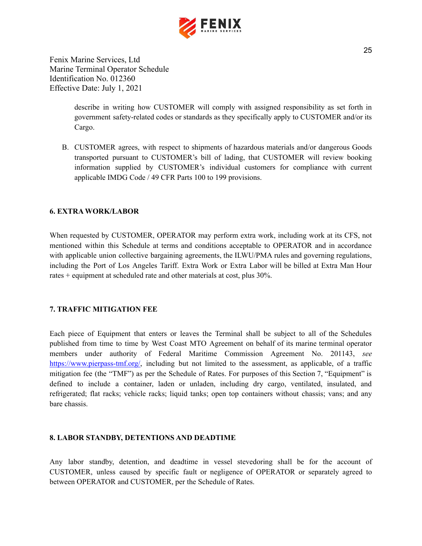

> describe in writing how CUSTOMER will comply with assigned responsibility as set forth in government safety-related codes or standards as they specifically apply to CUSTOMER and/or its Cargo.

B. CUSTOMER agrees, with respect to shipments of hazardous materials and/or dangerous Goods transported pursuant to CUSTOMER's bill of lading, that CUSTOMER will review booking information supplied by CUSTOMER's individual customers for compliance with current applicable IMDG Code / 49 CFR Parts 100 to 199 provisions.

## <span id="page-25-0"></span>**6. EXTRA WORK/LABOR**

When requested by CUSTOMER, OPERATOR may perform extra work, including work at its CFS, not mentioned within this Schedule at terms and conditions acceptable to OPERATOR and in accordance with applicable union collective bargaining agreements, the ILWU/PMA rules and governing regulations, including the Port of Los Angeles Tariff. Extra Work or Extra Labor will be billed at Extra Man Hour rates + equipment at scheduled rate and other materials at cost, plus 30%.

#### <span id="page-25-1"></span>**7. TRAFFIC MITIGATION FEE**

Each piece of Equipment that enters or leaves the Terminal shall be subject to all of the Schedules published from time to time by West Coast MTO Agreement on behalf of its marine terminal operator members under authority of Federal Maritime Commission Agreement No. 201143, *see* [https://www.pierpass-tmf.org/,](https://www.pierpass-tmf.org/) including but not limited to the assessment, as applicable, of a traffic mitigation fee (the "TMF") as per the Schedule of Rates. For purposes of this Section 7, "Equipment" is defined to include a container, laden or unladen, including dry cargo, ventilated, insulated, and refrigerated; flat racks; vehicle racks; liquid tanks; open top containers without chassis; vans; and any bare chassis.

#### <span id="page-25-2"></span>**8. LABOR STANDBY, DETENTIONS AND DEADTIME**

Any labor standby, detention, and deadtime in vessel stevedoring shall be for the account of CUSTOMER, unless caused by specific fault or negligence of OPERATOR or separately agreed to between OPERATOR and CUSTOMER, per the Schedule of Rates.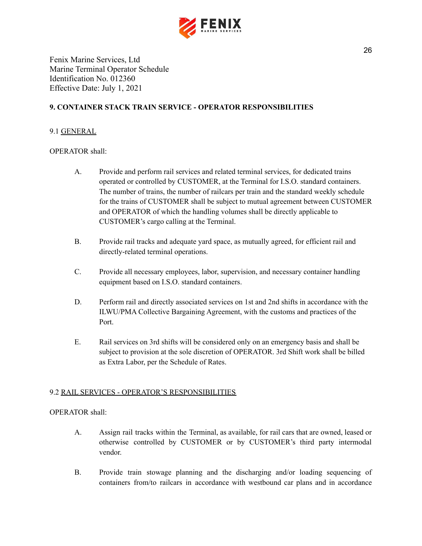

## <span id="page-26-0"></span>**9. CONTAINER STACK TRAIN SERVICE - OPERATOR RESPONSIBILITIES**

#### 9.1 GENERAL

## OPERATOR shall:

- A. Provide and perform rail services and related terminal services, for dedicated trains operated or controlled by CUSTOMER, at the Terminal for I.S.O. standard containers. The number of trains, the number of railcars per train and the standard weekly schedule for the trains of CUSTOMER shall be subject to mutual agreement between CUSTOMER and OPERATOR of which the handling volumes shall be directly applicable to CUSTOMER's cargo calling at the Terminal.
- B. Provide rail tracks and adequate yard space, as mutually agreed, for efficient rail and directly-related terminal operations.
- C. Provide all necessary employees, labor, supervision, and necessary container handling equipment based on I.S.O. standard containers.
- D. Perform rail and directly associated services on 1st and 2nd shifts in accordance with the ILWU/PMA Collective Bargaining Agreement, with the customs and practices of the Port.
- E. Rail services on 3rd shifts will be considered only on an emergency basis and shall be subject to provision at the sole discretion of OPERATOR. 3rd Shift work shall be billed as Extra Labor, per the Schedule of Rates.

#### 9.2 RAIL SERVICES - OPERATOR'S RESPONSIBILITIES

#### OPERATOR shall:

- A. Assign rail tracks within the Terminal, as available, for rail cars that are owned, leased or otherwise controlled by CUSTOMER or by CUSTOMER's third party intermodal vendor.
- B. Provide train stowage planning and the discharging and/or loading sequencing of containers from/to railcars in accordance with westbound car plans and in accordance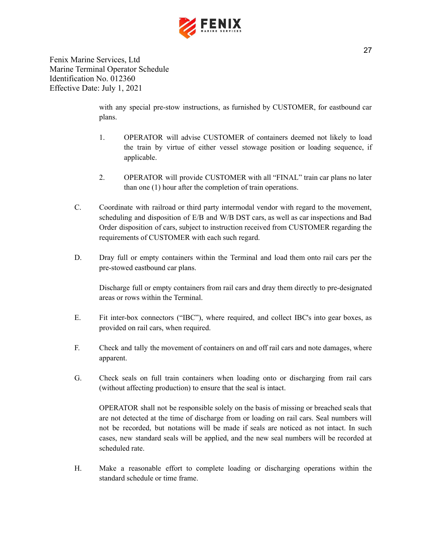

> with any special pre-stow instructions, as furnished by CUSTOMER, for eastbound car plans.

- 1. OPERATOR will advise CUSTOMER of containers deemed not likely to load the train by virtue of either vessel stowage position or loading sequence, if applicable.
- 2. OPERATOR will provide CUSTOMER with all "FINAL" train car plans no later than one (1) hour after the completion of train operations.
- C. Coordinate with railroad or third party intermodal vendor with regard to the movement, scheduling and disposition of E/B and W/B DST cars, as well as car inspections and Bad Order disposition of cars, subject to instruction received from CUSTOMER regarding the requirements of CUSTOMER with each such regard.
- D. Dray full or empty containers within the Terminal and load them onto rail cars per the pre-stowed eastbound car plans.

Discharge full or empty containers from rail cars and dray them directly to pre-designated areas or rows within the Terminal.

- E. Fit inter-box connectors ("IBC"), where required, and collect IBC's into gear boxes, as provided on rail cars, when required.
- F. Check and tally the movement of containers on and off rail cars and note damages, where apparent.
- G. Check seals on full train containers when loading onto or discharging from rail cars (without affecting production) to ensure that the seal is intact.

OPERATOR shall not be responsible solely on the basis of missing or breached seals that are not detected at the time of discharge from or loading on rail cars. Seal numbers will not be recorded, but notations will be made if seals are noticed as not intact. In such cases, new standard seals will be applied, and the new seal numbers will be recorded at scheduled rate.

H. Make a reasonable effort to complete loading or discharging operations within the standard schedule or time frame.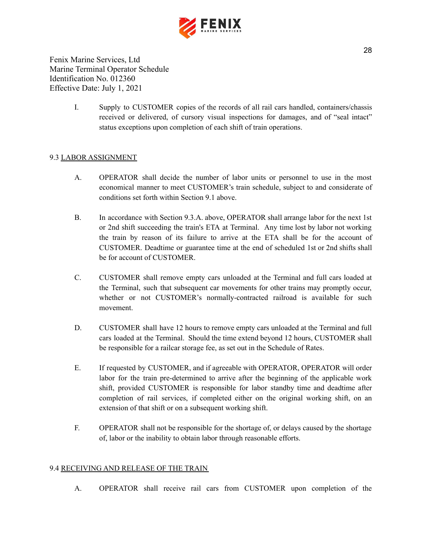

> I. Supply to CUSTOMER copies of the records of all rail cars handled, containers/chassis received or delivered, of cursory visual inspections for damages, and of "seal intact" status exceptions upon completion of each shift of train operations.

## 9.3 LABOR ASSIGNMENT

- A. OPERATOR shall decide the number of labor units or personnel to use in the most economical manner to meet CUSTOMER's train schedule, subject to and considerate of conditions set forth within Section 9.1 above.
- B. In accordance with Section 9.3.A. above, OPERATOR shall arrange labor for the next 1st or 2nd shift succeeding the train's ETA at Terminal. Any time lost by labor not working the train by reason of its failure to arrive at the ETA shall be for the account of CUSTOMER. Deadtime or guarantee time at the end of scheduled 1st or 2nd shifts shall be for account of CUSTOMER.
- C. CUSTOMER shall remove empty cars unloaded at the Terminal and full cars loaded at the Terminal, such that subsequent car movements for other trains may promptly occur, whether or not CUSTOMER's normally-contracted railroad is available for such movement.
- D. CUSTOMER shall have 12 hours to remove empty cars unloaded at the Terminal and full cars loaded at the Terminal. Should the time extend beyond 12 hours, CUSTOMER shall be responsible for a railcar storage fee, as set out in the Schedule of Rates.
- E. If requested by CUSTOMER, and if agreeable with OPERATOR, OPERATOR will order labor for the train pre-determined to arrive after the beginning of the applicable work shift, provided CUSTOMER is responsible for labor standby time and deadtime after completion of rail services, if completed either on the original working shift, on an extension of that shift or on a subsequent working shift.
- F. OPERATOR shall not be responsible for the shortage of, or delays caused by the shortage of, labor or the inability to obtain labor through reasonable efforts.

#### 9.4 RECEIVING AND RELEASE OF THE TRAIN

A. OPERATOR shall receive rail cars from CUSTOMER upon completion of the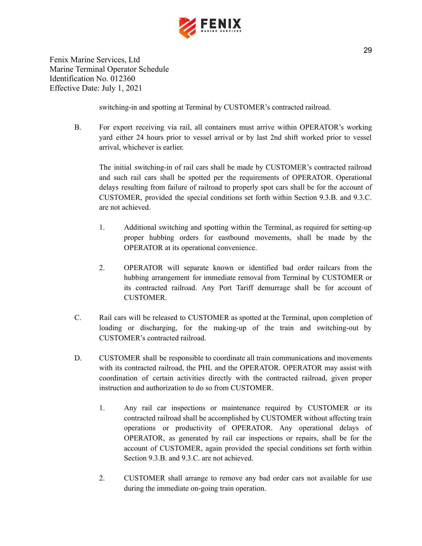

switching-in and spotting at Terminal by CUSTOMER's contracted railroad.

B. For export receiving via rail, all containers must arrive within OPERATOR's working yard either 24 hours prior to vessel arrival or by last 2nd shift worked prior to vessel arrival, whichever is earlier.

The initial switching-in of rail cars shall be made by CUSTOMER's contracted railroad and such rail cars shall be spotted per the requirements of OPERATOR. Operational delays resulting from failure of railroad to properly spot cars shall be for the account of CUSTOMER, provided the special conditions set forth within Section 9.3.B. and 9.3.C. are not achieved.

- 1. Additional switching and spotting within the Terminal, as required for setting-up proper hubbing orders for eastbound movements, shall be made by the OPERATOR at its operational convenience.
- 2. OPERATOR will separate known or identified bad order railcars from the hubbing arrangement for immediate removal from Terminal by CUSTOMER or its contracted railroad. Any Port Tariff demurrage shall be for account of CUSTOMER.
- C. Rail cars will be released to CUSTOMER as spotted at the Terminal, upon completion of loading or discharging, for the making-up of the train and switching-out by CUSTOMER's contracted railroad.
- D. CUSTOMER shall be responsible to coordinate all train communications and movements with its contracted railroad, the PHL and the OPERATOR. OPERATOR may assist with coordination of certain activities directly with the contracted railroad, given proper instruction and authorization to do so from CUSTOMER.
	- 1. Any rail car inspections or maintenance required by CUSTOMER or its contracted railroad shall be accomplished by CUSTOMER without affecting train operations or productivity of OPERATOR. Any operational delays of OPERATOR, as generated by rail car inspections or repairs, shall be for the account of CUSTOMER, again provided the special conditions set forth within Section 9.3.B. and 9.3.C. are not achieved.
	- 2. CUSTOMER shall arrange to remove any bad order cars not available for use during the immediate on-going train operation.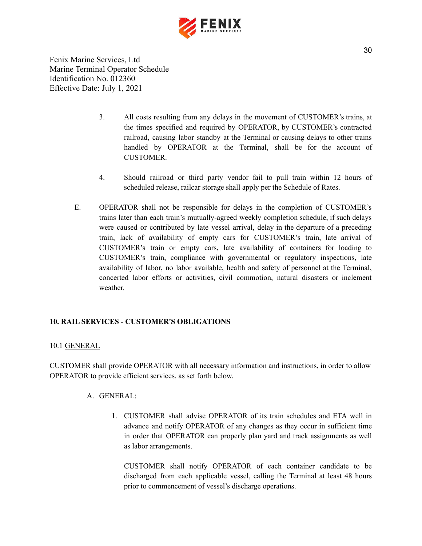

- 3. All costs resulting from any delays in the movement of CUSTOMER's trains, at the times specified and required by OPERATOR, by CUSTOMER's contracted railroad, causing labor standby at the Terminal or causing delays to other trains handled by OPERATOR at the Terminal, shall be for the account of **CUSTOMER**
- 4. Should railroad or third party vendor fail to pull train within 12 hours of scheduled release, railcar storage shall apply per the Schedule of Rates.
- E. OPERATOR shall not be responsible for delays in the completion of CUSTOMER's trains later than each train's mutually-agreed weekly completion schedule, if such delays were caused or contributed by late vessel arrival, delay in the departure of a preceding train, lack of availability of empty cars for CUSTOMER's train, late arrival of CUSTOMER's train or empty cars, late availability of containers for loading to CUSTOMER's train, compliance with governmental or regulatory inspections, late availability of labor, no labor available, health and safety of personnel at the Terminal, concerted labor efforts or activities, civil commotion, natural disasters or inclement weather.

## <span id="page-30-0"></span>**10. RAIL SERVICES - CUSTOMER'S OBLIGATIONS**

#### 10.1 GENERAL

CUSTOMER shall provide OPERATOR with all necessary information and instructions, in order to allow OPERATOR to provide efficient services, as set forth below.

## A. GENERAL:

1. CUSTOMER shall advise OPERATOR of its train schedules and ETA well in advance and notify OPERATOR of any changes as they occur in sufficient time in order that OPERATOR can properly plan yard and track assignments as well as labor arrangements.

CUSTOMER shall notify OPERATOR of each container candidate to be discharged from each applicable vessel, calling the Terminal at least 48 hours prior to commencement of vessel's discharge operations.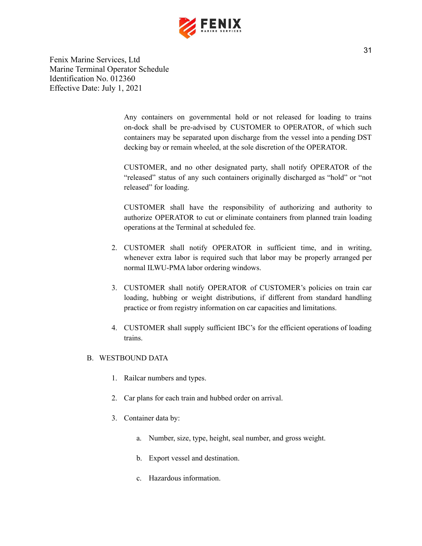

> Any containers on governmental hold or not released for loading to trains on-dock shall be pre-advised by CUSTOMER to OPERATOR, of which such containers may be separated upon discharge from the vessel into a pending DST decking bay or remain wheeled, at the sole discretion of the OPERATOR.

> CUSTOMER, and no other designated party, shall notify OPERATOR of the "released" status of any such containers originally discharged as "hold" or "not released" for loading.

> CUSTOMER shall have the responsibility of authorizing and authority to authorize OPERATOR to cut or eliminate containers from planned train loading operations at the Terminal at scheduled fee.

- 2. CUSTOMER shall notify OPERATOR in sufficient time, and in writing, whenever extra labor is required such that labor may be properly arranged per normal ILWU-PMA labor ordering windows.
- 3. CUSTOMER shall notify OPERATOR of CUSTOMER's policies on train car loading, hubbing or weight distributions, if different from standard handling practice or from registry information on car capacities and limitations.
- 4. CUSTOMER shall supply sufficient IBC's for the efficient operations of loading trains.

## B. WESTBOUND DATA

- 1. Railcar numbers and types.
- 2. Car plans for each train and hubbed order on arrival.
- 3. Container data by:
	- a. Number, size, type, height, seal number, and gross weight.
	- b. Export vessel and destination.
	- c. Hazardous information.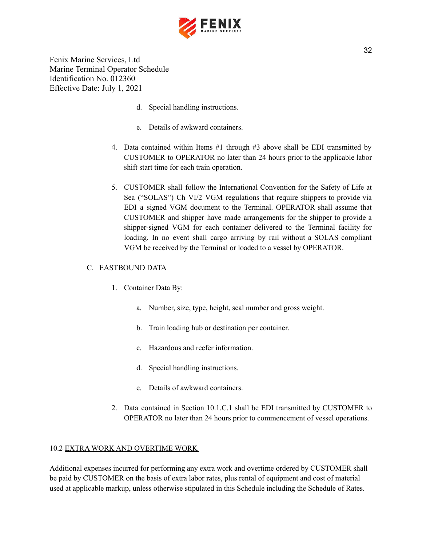

- d. Special handling instructions.
- e. Details of awkward containers.
- 4. Data contained within Items #1 through #3 above shall be EDI transmitted by CUSTOMER to OPERATOR no later than 24 hours prior to the applicable labor shift start time for each train operation.
- 5. CUSTOMER shall follow the International Convention for the Safety of Life at Sea ("SOLAS") Ch VI/2 VGM regulations that require shippers to provide via EDI a signed VGM document to the Terminal. OPERATOR shall assume that CUSTOMER and shipper have made arrangements for the shipper to provide a shipper-signed VGM for each container delivered to the Terminal facility for loading. In no event shall cargo arriving by rail without a SOLAS compliant VGM be received by the Terminal or loaded to a vessel by OPERATOR.

## C. EASTBOUND DATA

- 1. Container Data By:
	- a. Number, size, type, height, seal number and gross weight.
	- b. Train loading hub or destination per container.
	- c. Hazardous and reefer information.
	- d. Special handling instructions.
	- e. Details of awkward containers.
- 2. Data contained in Section 10.1.C.1 shall be EDI transmitted by CUSTOMER to OPERATOR no later than 24 hours prior to commencement of vessel operations.

#### 10.2 EXTRA WORK AND OVERTIME WORK

Additional expenses incurred for performing any extra work and overtime ordered by CUSTOMER shall be paid by CUSTOMER on the basis of extra labor rates, plus rental of equipment and cost of material used at applicable markup, unless otherwise stipulated in this Schedule including the Schedule of Rates.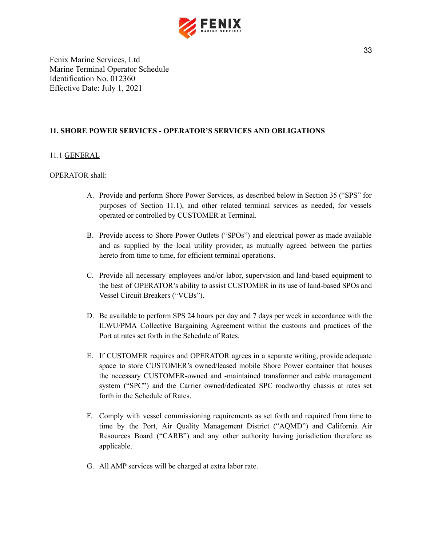

## <span id="page-33-0"></span>**11. SHORE POWER SERVICES - OPERATOR'S SERVICES AND OBLIGATIONS**

## 11.1 GENERAL

## OPERATOR shall:

- A. Provide and perform Shore Power Services, as described below in Section 35 ("SPS" for purposes of Section 11.1), and other related terminal services as needed, for vessels operated or controlled by CUSTOMER at Terminal.
- B. Provide access to Shore Power Outlets ("SPOs") and electrical power as made available and as supplied by the local utility provider, as mutually agreed between the parties hereto from time to time, for efficient terminal operations.
- C. Provide all necessary employees and/or labor, supervision and land-based equipment to the best of OPERATOR's ability to assist CUSTOMER in its use of land-based SPOs and Vessel Circuit Breakers ("VCBs").
- D. Be available to perform SPS 24 hours per day and 7 days per week in accordance with the ILWU/PMA Collective Bargaining Agreement within the customs and practices of the Port at rates set forth in the Schedule of Rates.
- E. If CUSTOMER requires and OPERATOR agrees in a separate writing, provide adequate space to store CUSTOMER's owned/leased mobile Shore Power container that houses the necessary CUSTOMER-owned and -maintained transformer and cable management system ("SPC") and the Carrier owned/dedicated SPC roadworthy chassis at rates set forth in the Schedule of Rates.
- F. Comply with vessel commissioning requirements as set forth and required from time to time by the Port, Air Quality Management District ("AQMD") and California Air Resources Board ("CARB") and any other authority having jurisdiction therefore as applicable.
- G. All AMP services will be charged at extra labor rate.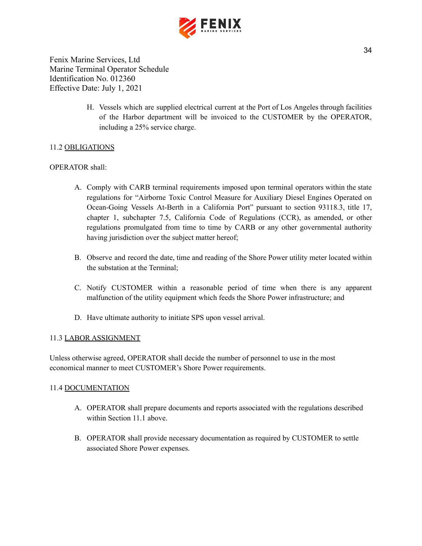

> H. Vessels which are supplied electrical current at the Port of Los Angeles through facilities of the Harbor department will be invoiced to the CUSTOMER by the OPERATOR, including a 25% service charge.

## 11.2 OBLIGATIONS

#### OPERATOR shall:

- A. Comply with CARB terminal requirements imposed upon terminal operators within the state regulations for "Airborne Toxic Control Measure for Auxiliary Diesel Engines Operated on Ocean-Going Vessels At-Berth in a California Port" pursuant to section 93118.3, title 17, chapter 1, subchapter 7.5, California Code of Regulations (CCR), as amended, or other regulations promulgated from time to time by CARB or any other governmental authority having jurisdiction over the subject matter hereof;
- B. Observe and record the date, time and reading of the Shore Power utility meter located within the substation at the Terminal;
- C. Notify CUSTOMER within a reasonable period of time when there is any apparent malfunction of the utility equipment which feeds the Shore Power infrastructure; and
- D. Have ultimate authority to initiate SPS upon vessel arrival.

#### 11.3 LABOR ASSIGNMENT

Unless otherwise agreed, OPERATOR shall decide the number of personnel to use in the most economical manner to meet CUSTOMER's Shore Power requirements.

#### 11.4 DOCUMENTATION

- A. OPERATOR shall prepare documents and reports associated with the regulations described within Section 11.1 above.
- B. OPERATOR shall provide necessary documentation as required by CUSTOMER to settle associated Shore Power expenses.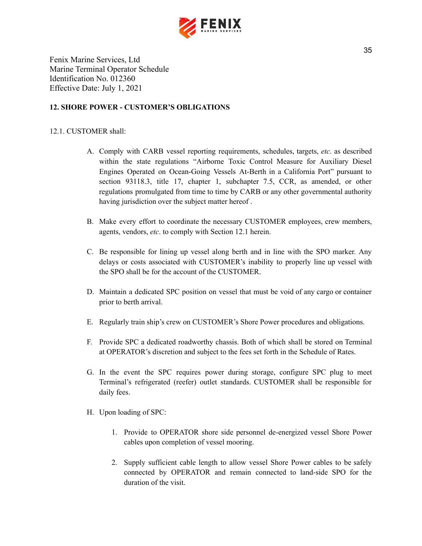

## <span id="page-35-0"></span>**12. SHORE POWER - CUSTOMER'S OBLIGATIONS**

#### 12.1. CUSTOMER shall:

- A. Comply with CARB vessel reporting requirements, schedules, targets, *etc*. as described within the state regulations "Airborne Toxic Control Measure for Auxiliary Diesel Engines Operated on Ocean-Going Vessels At-Berth in a California Port" pursuant to section 93118.3, title 17, chapter 1, subchapter 7.5, CCR, as amended, or other regulations promulgated from time to time by CARB or any other governmental authority having jurisdiction over the subject matter hereof .
- B. Make every effort to coordinate the necessary CUSTOMER employees, crew members, agents, vendors, *etc*. to comply with Section 12.1 herein.
- C. Be responsible for lining up vessel along berth and in line with the SPO marker. Any delays or costs associated with CUSTOMER's inability to properly line up vessel with the SPO shall be for the account of the CUSTOMER.
- D. Maintain a dedicated SPC position on vessel that must be void of any cargo or container prior to berth arrival.
- E. Regularly train ship's crew on CUSTOMER's Shore Power procedures and obligations.
- F. Provide SPC a dedicated roadworthy chassis. Both of which shall be stored on Terminal at OPERATOR's discretion and subject to the fees set forth in the Schedule of Rates.
- G. In the event the SPC requires power during storage, configure SPC plug to meet Terminal's refrigerated (reefer) outlet standards. CUSTOMER shall be responsible for daily fees.
- H. Upon loading of SPC:
	- 1. Provide to OPERATOR shore side personnel de-energized vessel Shore Power cables upon completion of vessel mooring.
	- 2. Supply sufficient cable length to allow vessel Shore Power cables to be safely connected by OPERATOR and remain connected to land-side SPO for the duration of the visit.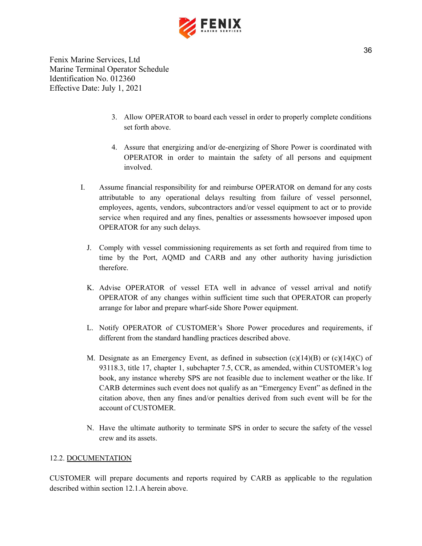

- 3. Allow OPERATOR to board each vessel in order to properly complete conditions set forth above.
- 4. Assure that energizing and/or de-energizing of Shore Power is coordinated with OPERATOR in order to maintain the safety of all persons and equipment involved.
- I. Assume financial responsibility for and reimburse OPERATOR on demand for any costs attributable to any operational delays resulting from failure of vessel personnel, employees, agents, vendors, subcontractors and/or vessel equipment to act or to provide service when required and any fines, penalties or assessments howsoever imposed upon OPERATOR for any such delays.
	- J. Comply with vessel commissioning requirements as set forth and required from time to time by the Port, AQMD and CARB and any other authority having jurisdiction therefore.
	- K. Advise OPERATOR of vessel ETA well in advance of vessel arrival and notify OPERATOR of any changes within sufficient time such that OPERATOR can properly arrange for labor and prepare wharf-side Shore Power equipment.
	- L. Notify OPERATOR of CUSTOMER's Shore Power procedures and requirements, if different from the standard handling practices described above.
	- M. Designate as an Emergency Event, as defined in subsection  $(c)(14)(B)$  or  $(c)(14)(C)$  of 93118.3, title 17, chapter 1, subchapter 7.5, CCR, as amended, within CUSTOMER's log book, any instance whereby SPS are not feasible due to inclement weather or the like. If CARB determines such event does not qualify as an "Emergency Event" as defined in the citation above, then any fines and/or penalties derived from such event will be for the account of CUSTOMER.
	- N. Have the ultimate authority to terminate SPS in order to secure the safety of the vessel crew and its assets.

#### 12.2. DOCUMENTATION

CUSTOMER will prepare documents and reports required by CARB as applicable to the regulation described within section 12.1.A herein above.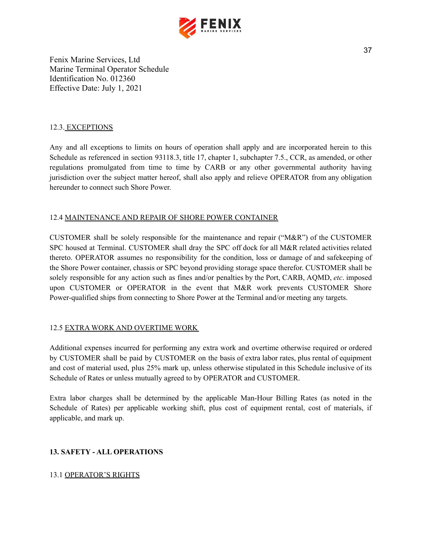

## 12.3. EXCEPTIONS

Any and all exceptions to limits on hours of operation shall apply and are incorporated herein to this Schedule as referenced in section 93118.3, title 17, chapter 1, subchapter 7.5., CCR, as amended, or other regulations promulgated from time to time by CARB or any other governmental authority having jurisdiction over the subject matter hereof, shall also apply and relieve OPERATOR from any obligation hereunder to connect such Shore Power.

## 12.4 MAINTENANCE AND REPAIR OF SHORE POWER CONTAINER

CUSTOMER shall be solely responsible for the maintenance and repair ("M&R") of the CUSTOMER SPC housed at Terminal. CUSTOMER shall dray the SPC off dock for all M&R related activities related thereto. OPERATOR assumes no responsibility for the condition, loss or damage of and safekeeping of the Shore Power container, chassis or SPC beyond providing storage space therefor. CUSTOMER shall be solely responsible for any action such as fines and/or penalties by the Port, CARB, AQMD, *etc*. imposed upon CUSTOMER or OPERATOR in the event that M&R work prevents CUSTOMER Shore Power-qualified ships from connecting to Shore Power at the Terminal and/or meeting any targets.

## 12.5 EXTRA WORK AND OVERTIME WORK

Additional expenses incurred for performing any extra work and overtime otherwise required or ordered by CUSTOMER shall be paid by CUSTOMER on the basis of extra labor rates, plus rental of equipment and cost of material used, plus 25% mark up, unless otherwise stipulated in this Schedule inclusive of its Schedule of Rates or unless mutually agreed to by OPERATOR and CUSTOMER.

Extra labor charges shall be determined by the applicable Man-Hour Billing Rates (as noted in the Schedule of Rates) per applicable working shift, plus cost of equipment rental, cost of materials, if applicable, and mark up.

## <span id="page-37-0"></span>**13. SAFETY - ALL OPERATIONS**

## 13.1 OPERATOR'S RIGHTS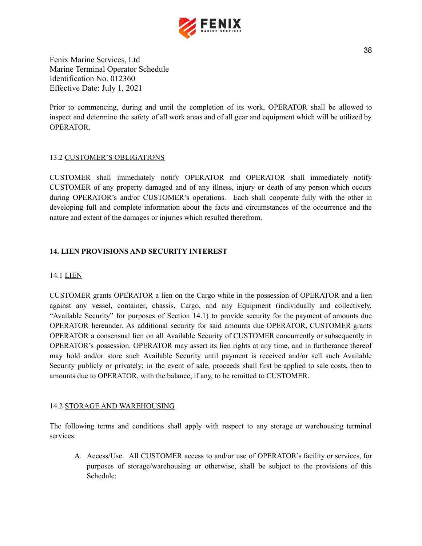

Prior to commencing, during and until the completion of its work, OPERATOR shall be allowed to inspect and determine the safety of all work areas and of all gear and equipment which will be utilized by OPERATOR.

## 13.2 CUSTOMER'S OBLIGATIONS

CUSTOMER shall immediately notify OPERATOR and OPERATOR shall immediately notify CUSTOMER of any property damaged and of any illness, injury or death of any person which occurs during OPERATOR's and/or CUSTOMER's operations. Each shall cooperate fully with the other in developing full and complete information about the facts and circumstances of the occurrence and the nature and extent of the damages or injuries which resulted therefrom.

## <span id="page-38-0"></span>**14. LIEN PROVISIONS AND SECURITY INTEREST**

#### 14.1 LIEN

CUSTOMER grants OPERATOR a lien on the Cargo while in the possession of OPERATOR and a lien against any vessel, container, chassis, Cargo, and any Equipment (individually and collectively, "Available Security" for purposes of Section 14.1) to provide security for the payment of amounts due OPERATOR hereunder. As additional security for said amounts due OPERATOR, CUSTOMER grants OPERATOR a consensual lien on all Available Security of CUSTOMER concurrently or subsequently in OPERATOR's possession. OPERATOR may assert its lien rights at any time, and in furtherance thereof may hold and/or store such Available Security until payment is received and/or sell such Available Security publicly or privately; in the event of sale, proceeds shall first be applied to sale costs, then to amounts due to OPERATOR, with the balance, if any, to be remitted to CUSTOMER.

#### 14.2 STORAGE AND WAREHOUSING

The following terms and conditions shall apply with respect to any storage or warehousing terminal services:

A. Access/Use. All CUSTOMER access to and/or use of OPERATOR's facility or services, for purposes of storage/warehousing or otherwise, shall be subject to the provisions of this Schedule: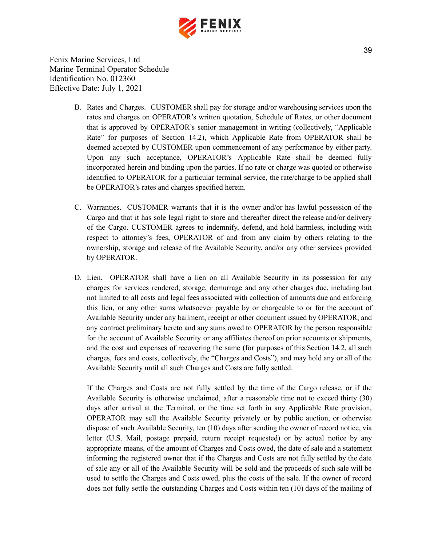

- B. Rates and Charges. CUSTOMER shall pay for storage and/or warehousing services upon the rates and charges on OPERATOR's written quotation, Schedule of Rates, or other document that is approved by OPERATOR's senior management in writing (collectively, "Applicable Rate" for purposes of Section 14.2), which Applicable Rate from OPERATOR shall be deemed accepted by CUSTOMER upon commencement of any performance by either party. Upon any such acceptance, OPERATOR's Applicable Rate shall be deemed fully incorporated herein and binding upon the parties. If no rate or charge was quoted or otherwise identified to OPERATOR for a particular terminal service, the rate/charge to be applied shall be OPERATOR's rates and charges specified herein.
- C. Warranties. CUSTOMER warrants that it is the owner and/or has lawful possession of the Cargo and that it has sole legal right to store and thereafter direct the release and/or delivery of the Cargo. CUSTOMER agrees to indemnify, defend, and hold harmless, including with respect to attorney's fees, OPERATOR of and from any claim by others relating to the ownership, storage and release of the Available Security, and/or any other services provided by OPERATOR.
- D. Lien. OPERATOR shall have a lien on all Available Security in its possession for any charges for services rendered, storage, demurrage and any other charges due, including but not limited to all costs and legal fees associated with collection of amounts due and enforcing this lien, or any other sums whatsoever payable by or chargeable to or for the account of Available Security under any bailment, receipt or other document issued by OPERATOR, and any contract preliminary hereto and any sums owed to OPERATOR by the person responsible for the account of Available Security or any affiliates thereof on prior accounts or shipments, and the cost and expenses of recovering the same (for purposes of this Section 14.2, all such charges, fees and costs, collectively, the "Charges and Costs"), and may hold any or all of the Available Security until all such Charges and Costs are fully settled.

If the Charges and Costs are not fully settled by the time of the Cargo release, or if the Available Security is otherwise unclaimed, after a reasonable time not to exceed thirty (30) days after arrival at the Terminal, or the time set forth in any Applicable Rate provision, OPERATOR may sell the Available Security privately or by public auction, or otherwise dispose of such Available Security, ten (10) days after sending the owner of record notice, via letter (U.S. Mail, postage prepaid, return receipt requested) or by actual notice by any appropriate means, of the amount of Charges and Costs owed, the date of sale and a statement informing the registered owner that if the Charges and Costs are not fully settled by the date of sale any or all of the Available Security will be sold and the proceeds of such sale will be used to settle the Charges and Costs owed, plus the costs of the sale. If the owner of record does not fully settle the outstanding Charges and Costs within ten (10) days of the mailing of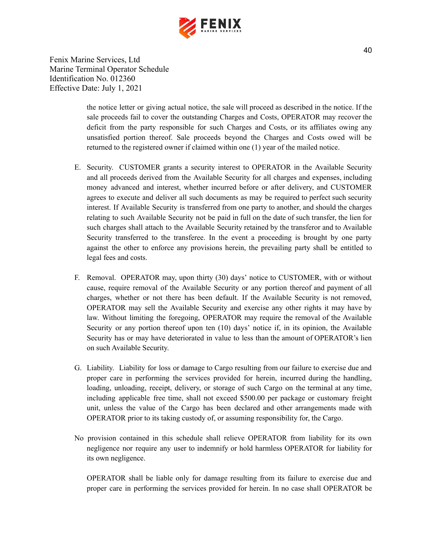

> the notice letter or giving actual notice, the sale will proceed as described in the notice. If the sale proceeds fail to cover the outstanding Charges and Costs, OPERATOR may recover the deficit from the party responsible for such Charges and Costs, or its affiliates owing any unsatisfied portion thereof. Sale proceeds beyond the Charges and Costs owed will be returned to the registered owner if claimed within one (1) year of the mailed notice.

- E. Security. CUSTOMER grants a security interest to OPERATOR in the Available Security and all proceeds derived from the Available Security for all charges and expenses, including money advanced and interest, whether incurred before or after delivery, and CUSTOMER agrees to execute and deliver all such documents as may be required to perfect such security interest. If Available Security is transferred from one party to another, and should the charges relating to such Available Security not be paid in full on the date of such transfer, the lien for such charges shall attach to the Available Security retained by the transferor and to Available Security transferred to the transferee. In the event a proceeding is brought by one party against the other to enforce any provisions herein, the prevailing party shall be entitled to legal fees and costs.
- F. Removal. OPERATOR may, upon thirty (30) days' notice to CUSTOMER, with or without cause, require removal of the Available Security or any portion thereof and payment of all charges, whether or not there has been default. If the Available Security is not removed, OPERATOR may sell the Available Security and exercise any other rights it may have by law. Without limiting the foregoing, OPERATOR may require the removal of the Available Security or any portion thereof upon ten (10) days' notice if, in its opinion, the Available Security has or may have deteriorated in value to less than the amount of OPERATOR's lien on such Available Security.
- G. Liability. Liability for loss or damage to Cargo resulting from our failure to exercise due and proper care in performing the services provided for herein, incurred during the handling, loading, unloading, receipt, delivery, or storage of such Cargo on the terminal at any time, including applicable free time, shall not exceed \$500.00 per package or customary freight unit, unless the value of the Cargo has been declared and other arrangements made with OPERATOR prior to its taking custody of, or assuming responsibility for, the Cargo.
- No provision contained in this schedule shall relieve OPERATOR from liability for its own negligence nor require any user to indemnify or hold harmless OPERATOR for liability for its own negligence.

OPERATOR shall be liable only for damage resulting from its failure to exercise due and proper care in performing the services provided for herein. In no case shall OPERATOR be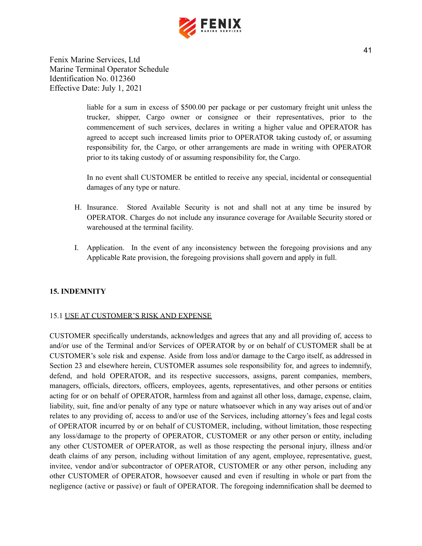

> liable for a sum in excess of \$500.00 per package or per customary freight unit unless the trucker, shipper, Cargo owner or consignee or their representatives, prior to the commencement of such services, declares in writing a higher value and OPERATOR has agreed to accept such increased limits prior to OPERATOR taking custody of, or assuming responsibility for, the Cargo, or other arrangements are made in writing with OPERATOR prior to its taking custody of or assuming responsibility for, the Cargo.

> In no event shall CUSTOMER be entitled to receive any special, incidental or consequential damages of any type or nature.

- H. Insurance. Stored Available Security is not and shall not at any time be insured by OPERATOR. Charges do not include any insurance coverage for Available Security stored or warehoused at the terminal facility.
- I. Application. In the event of any inconsistency between the foregoing provisions and any Applicable Rate provision, the foregoing provisions shall govern and apply in full.

## <span id="page-41-0"></span>**15. INDEMNITY**

#### 15.1 USE AT CUSTOMER'S RISK AND EXPENSE

CUSTOMER specifically understands, acknowledges and agrees that any and all providing of, access to and/or use of the Terminal and/or Services of OPERATOR by or on behalf of CUSTOMER shall be at CUSTOMER's sole risk and expense. Aside from loss and/or damage to the Cargo itself, as addressed in Section 23 and elsewhere herein, CUSTOMER assumes sole responsibility for, and agrees to indemnify, defend, and hold OPERATOR, and its respective successors, assigns, parent companies, members, managers, officials, directors, officers, employees, agents, representatives, and other persons or entities acting for or on behalf of OPERATOR, harmless from and against all other loss, damage, expense, claim, liability, suit, fine and/or penalty of any type or nature whatsoever which in any way arises out of and/or relates to any providing of, access to and/or use of the Services, including attorney's fees and legal costs of OPERATOR incurred by or on behalf of CUSTOMER, including, without limitation, those respecting any loss/damage to the property of OPERATOR, CUSTOMER or any other person or entity, including any other CUSTOMER of OPERATOR, as well as those respecting the personal injury, illness and/or death claims of any person, including without limitation of any agent, employee, representative, guest, invitee, vendor and/or subcontractor of OPERATOR, CUSTOMER or any other person, including any other CUSTOMER of OPERATOR, howsoever caused and even if resulting in whole or part from the negligence (active or passive) or fault of OPERATOR. The foregoing indemnification shall be deemed to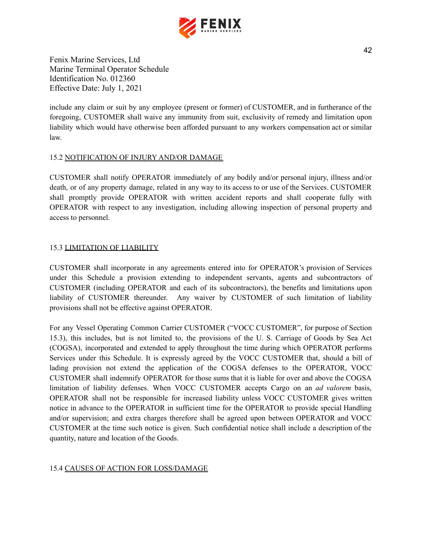

include any claim or suit by any employee (present or former) of CUSTOMER, and in furtherance of the foregoing, CUSTOMER shall waive any immunity from suit, exclusivity of remedy and limitation upon liability which would have otherwise been afforded pursuant to any workers compensation act or similar law.

## 15.2 NOTIFICATION OF INJURY AND/OR DAMAGE

CUSTOMER shall notify OPERATOR immediately of any bodily and/or personal injury, illness and/or death, or of any property damage, related in any way to its access to or use of the Services. CUSTOMER shall promptly provide OPERATOR with written accident reports and shall cooperate fully with OPERATOR with respect to any investigation, including allowing inspection of personal property and access to personnel.

## 15.3 LIMITATION OF LIABILITY

CUSTOMER shall incorporate in any agreements entered into for OPERATOR's provision of Services under this Schedule a provision extending to independent servants, agents and subcontractors of CUSTOMER (including OPERATOR and each of its subcontractors), the benefits and limitations upon liability of CUSTOMER thereunder. Any waiver by CUSTOMER of such limitation of liability provisions shall not be effective against OPERATOR.

For any Vessel Operating Common Carrier CUSTOMER ("VOCC CUSTOMER", for purpose of Section 15.3), this includes, but is not limited to, the provisions of the U. S. Carriage of Goods by Sea Act (COGSA), incorporated and extended to apply throughout the time during which OPERATOR performs Services under this Schedule. It is expressly agreed by the VOCC CUSTOMER that, should a bill of lading provision not extend the application of the COGSA defenses to the OPERATOR, VOCC CUSTOMER shall indemnify OPERATOR for those sums that it is liable for over and above the COGSA limitation of liability defenses. When VOCC CUSTOMER accepts Cargo on an *ad valorem* basis, OPERATOR shall not be responsible for increased liability unless VOCC CUSTOMER gives written notice in advance to the OPERATOR in sufficient time for the OPERATOR to provide special Handling and/or supervision; and extra charges therefore shall be agreed upon between OPERATOR and VOCC CUSTOMER at the time such notice is given. Such confidential notice shall include a description of the quantity, nature and location of the Goods.

## 15.4 CAUSES OF ACTION FOR LOSS/DAMAGE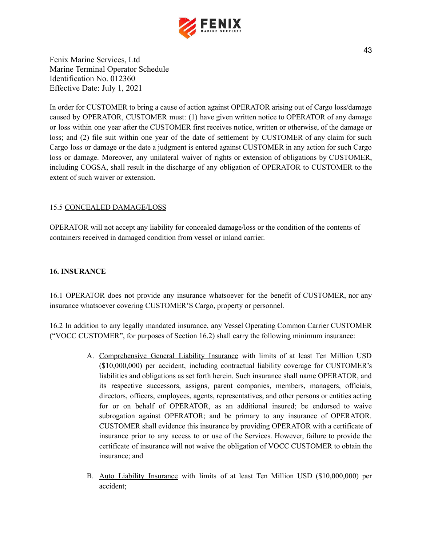

In order for CUSTOMER to bring a cause of action against OPERATOR arising out of Cargo loss/damage caused by OPERATOR, CUSTOMER must: (1) have given written notice to OPERATOR of any damage or loss within one year after the CUSTOMER first receives notice, written or otherwise, of the damage or loss; and (2) file suit within one year of the date of settlement by CUSTOMER of any claim for such Cargo loss or damage or the date a judgment is entered against CUSTOMER in any action for such Cargo loss or damage. Moreover, any unilateral waiver of rights or extension of obligations by CUSTOMER, including COGSA, shall result in the discharge of any obligation of OPERATOR to CUSTOMER to the extent of such waiver or extension.

## 15.5 CONCEALED DAMAGE/LOSS

OPERATOR will not accept any liability for concealed damage/loss or the condition of the contents of containers received in damaged condition from vessel or inland carrier.

#### <span id="page-43-0"></span>**16. INSURANCE**

16.1 OPERATOR does not provide any insurance whatsoever for the benefit of CUSTOMER, nor any insurance whatsoever covering CUSTOMER'S Cargo, property or personnel.

16.2 In addition to any legally mandated insurance, any Vessel Operating Common Carrier CUSTOMER ("VOCC CUSTOMER", for purposes of Section 16.2) shall carry the following minimum insurance:

- A. Comprehensive General Liability Insurance with limits of at least Ten Million USD (\$10,000,000) per accident, including contractual liability coverage for CUSTOMER's liabilities and obligations as set forth herein. Such insurance shall name OPERATOR, and its respective successors, assigns, parent companies, members, managers, officials, directors, officers, employees, agents, representatives, and other persons or entities acting for or on behalf of OPERATOR, as an additional insured; be endorsed to waive subrogation against OPERATOR; and be primary to any insurance of OPERATOR. CUSTOMER shall evidence this insurance by providing OPERATOR with a certificate of insurance prior to any access to or use of the Services. However, failure to provide the certificate of insurance will not waive the obligation of VOCC CUSTOMER to obtain the insurance; and
- B. Auto Liability Insurance with limits of at least Ten Million USD (\$10,000,000) per accident;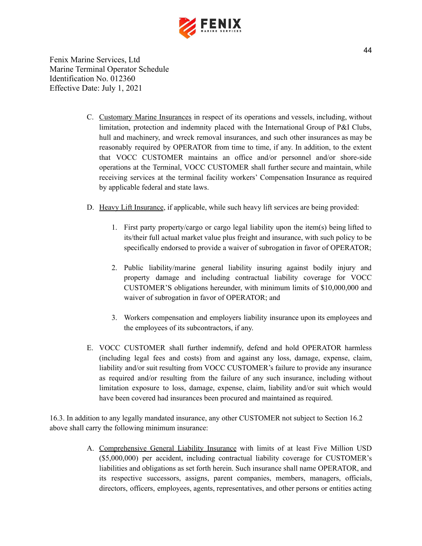

- C. Customary Marine Insurances in respect of its operations and vessels, including, without limitation, protection and indemnity placed with the International Group of P&I Clubs, hull and machinery, and wreck removal insurances, and such other insurances as may be reasonably required by OPERATOR from time to time, if any. In addition, to the extent that VOCC CUSTOMER maintains an office and/or personnel and/or shore-side operations at the Terminal, VOCC CUSTOMER shall further secure and maintain, while receiving services at the terminal facility workers' Compensation Insurance as required by applicable federal and state laws.
- D. Heavy Lift Insurance, if applicable, while such heavy lift services are being provided:
	- 1. First party property/cargo or cargo legal liability upon the item(s) being lifted to its/their full actual market value plus freight and insurance, with such policy to be specifically endorsed to provide a waiver of subrogation in favor of OPERATOR;
	- 2. Public liability/marine general liability insuring against bodily injury and property damage and including contractual liability coverage for VOCC CUSTOMER'S obligations hereunder, with minimum limits of \$10,000,000 and waiver of subrogation in favor of OPERATOR; and
	- 3. Workers compensation and employers liability insurance upon its employees and the employees of its subcontractors, if any.
- E. VOCC CUSTOMER shall further indemnify, defend and hold OPERATOR harmless (including legal fees and costs) from and against any loss, damage, expense, claim, liability and/or suit resulting from VOCC CUSTOMER's failure to provide any insurance as required and/or resulting from the failure of any such insurance, including without limitation exposure to loss, damage, expense, claim, liability and/or suit which would have been covered had insurances been procured and maintained as required.

16.3. In addition to any legally mandated insurance, any other CUSTOMER not subject to Section 16.2 above shall carry the following minimum insurance:

> A. Comprehensive General Liability Insurance with limits of at least Five Million USD (\$5,000,000) per accident, including contractual liability coverage for CUSTOMER's liabilities and obligations as set forth herein. Such insurance shall name OPERATOR, and its respective successors, assigns, parent companies, members, managers, officials, directors, officers, employees, agents, representatives, and other persons or entities acting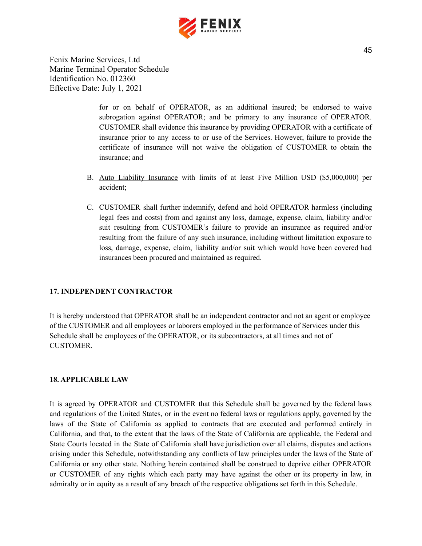

> for or on behalf of OPERATOR, as an additional insured; be endorsed to waive subrogation against OPERATOR; and be primary to any insurance of OPERATOR. CUSTOMER shall evidence this insurance by providing OPERATOR with a certificate of insurance prior to any access to or use of the Services. However, failure to provide the certificate of insurance will not waive the obligation of CUSTOMER to obtain the insurance; and

- B. Auto Liability Insurance with limits of at least Five Million USD (\$5,000,000) per accident;
- C. CUSTOMER shall further indemnify, defend and hold OPERATOR harmless (including legal fees and costs) from and against any loss, damage, expense, claim, liability and/or suit resulting from CUSTOMER's failure to provide an insurance as required and/or resulting from the failure of any such insurance, including without limitation exposure to loss, damage, expense, claim, liability and/or suit which would have been covered had insurances been procured and maintained as required.

## <span id="page-45-0"></span>**17. INDEPENDENT CONTRACTOR**

It is hereby understood that OPERATOR shall be an independent contractor and not an agent or employee of the CUSTOMER and all employees or laborers employed in the performance of Services under this Schedule shall be employees of the OPERATOR, or its subcontractors, at all times and not of CUSTOMER.

#### <span id="page-45-1"></span>**18. APPLICABLE LAW**

It is agreed by OPERATOR and CUSTOMER that this Schedule shall be governed by the federal laws and regulations of the United States, or in the event no federal laws or regulations apply, governed by the laws of the State of California as applied to contracts that are executed and performed entirely in California, and that, to the extent that the laws of the State of California are applicable, the Federal and State Courts located in the State of California shall have jurisdiction over all claims, disputes and actions arising under this Schedule, notwithstanding any conflicts of law principles under the laws of the State of California or any other state. Nothing herein contained shall be construed to deprive either OPERATOR or CUSTOMER of any rights which each party may have against the other or its property in law, in admiralty or in equity as a result of any breach of the respective obligations set forth in this Schedule.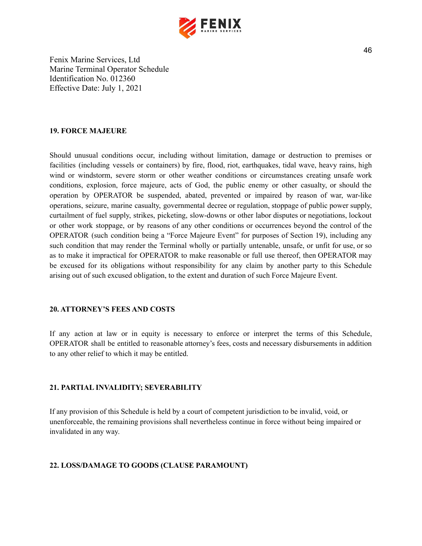

#### <span id="page-46-0"></span>**19. FORCE MAJEURE**

Should unusual conditions occur, including without limitation, damage or destruction to premises or facilities (including vessels or containers) by fire, flood, riot, earthquakes, tidal wave, heavy rains, high wind or windstorm, severe storm or other weather conditions or circumstances creating unsafe work conditions, explosion, force majeure, acts of God, the public enemy or other casualty, or should the operation by OPERATOR be suspended, abated, prevented or impaired by reason of war, war-like operations, seizure, marine casualty, governmental decree or regulation, stoppage of public power supply, curtailment of fuel supply, strikes, picketing, slow-downs or other labor disputes or negotiations, lockout or other work stoppage, or by reasons of any other conditions or occurrences beyond the control of the OPERATOR (such condition being a "Force Majeure Event" for purposes of Section 19), including any such condition that may render the Terminal wholly or partially untenable, unsafe, or unfit for use, or so as to make it impractical for OPERATOR to make reasonable or full use thereof, then OPERATOR may be excused for its obligations without responsibility for any claim by another party to this Schedule arising out of such excused obligation, to the extent and duration of such Force Majeure Event.

#### <span id="page-46-1"></span>**20. ATTORNEY'S FEES AND COSTS**

If any action at law or in equity is necessary to enforce or interpret the terms of this Schedule, OPERATOR shall be entitled to reasonable attorney's fees, costs and necessary disbursements in addition to any other relief to which it may be entitled.

## <span id="page-46-2"></span>**21. PARTIAL INVALIDITY; SEVERABILITY**

If any provision of this Schedule is held by a court of competent jurisdiction to be invalid, void, or unenforceable, the remaining provisions shall nevertheless continue in force without being impaired or invalidated in any way.

#### <span id="page-46-3"></span>**22. LOSS/DAMAGE TO GOODS (CLAUSE PARAMOUNT)**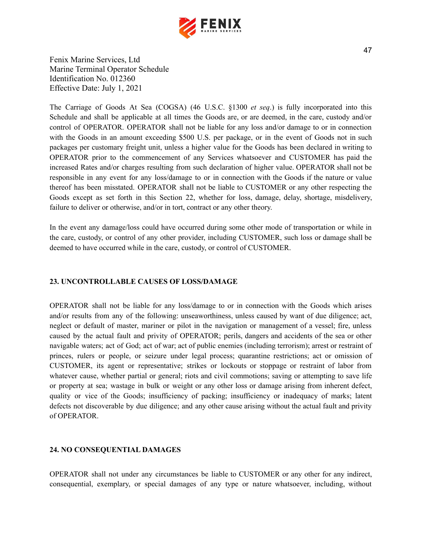

The Carriage of Goods At Sea (COGSA) (46 U.S.C. §1300 *et seq*.) is fully incorporated into this Schedule and shall be applicable at all times the Goods are, or are deemed, in the care, custody and/or control of OPERATOR. OPERATOR shall not be liable for any loss and/or damage to or in connection with the Goods in an amount exceeding \$500 U.S. per package, or in the event of Goods not in such packages per customary freight unit, unless a higher value for the Goods has been declared in writing to OPERATOR prior to the commencement of any Services whatsoever and CUSTOMER has paid the increased Rates and/or charges resulting from such declaration of higher value. OPERATOR shall not be responsible in any event for any loss/damage to or in connection with the Goods if the nature or value thereof has been misstated. OPERATOR shall not be liable to CUSTOMER or any other respecting the Goods except as set forth in this Section 22, whether for loss, damage, delay, shortage, misdelivery, failure to deliver or otherwise, and/or in tort, contract or any other theory.

In the event any damage/loss could have occurred during some other mode of transportation or while in the care, custody, or control of any other provider, including CUSTOMER, such loss or damage shall be deemed to have occurred while in the care, custody, or control of CUSTOMER.

#### <span id="page-47-0"></span>**23. UNCONTROLLABLE CAUSES OF LOSS/DAMAGE**

OPERATOR shall not be liable for any loss/damage to or in connection with the Goods which arises and/or results from any of the following: unseaworthiness, unless caused by want of due diligence; act, neglect or default of master, mariner or pilot in the navigation or management of a vessel; fire, unless caused by the actual fault and privity of OPERATOR; perils, dangers and accidents of the sea or other navigable waters; act of God; act of war; act of public enemies (including terrorism); arrest or restraint of princes, rulers or people, or seizure under legal process; quarantine restrictions; act or omission of CUSTOMER, its agent or representative; strikes or lockouts or stoppage or restraint of labor from whatever cause, whether partial or general; riots and civil commotions; saving or attempting to save life or property at sea; wastage in bulk or weight or any other loss or damage arising from inherent defect, quality or vice of the Goods; insufficiency of packing; insufficiency or inadequacy of marks; latent defects not discoverable by due diligence; and any other cause arising without the actual fault and privity of OPERATOR.

#### <span id="page-47-1"></span>**24. NO CONSEQUENTIAL DAMAGES**

OPERATOR shall not under any circumstances be liable to CUSTOMER or any other for any indirect, consequential, exemplary, or special damages of any type or nature whatsoever, including, without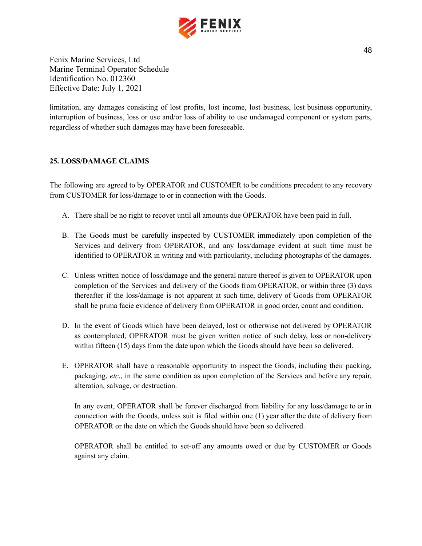

limitation, any damages consisting of lost profits, lost income, lost business, lost business opportunity, interruption of business, loss or use and/or loss of ability to use undamaged component or system parts, regardless of whether such damages may have been foreseeable.

## <span id="page-48-0"></span>**25. LOSS/DAMAGE CLAIMS**

The following are agreed to by OPERATOR and CUSTOMER to be conditions precedent to any recovery from CUSTOMER for loss/damage to or in connection with the Goods.

- A. There shall be no right to recover until all amounts due OPERATOR have been paid in full.
- B. The Goods must be carefully inspected by CUSTOMER immediately upon completion of the Services and delivery from OPERATOR, and any loss/damage evident at such time must be identified to OPERATOR in writing and with particularity, including photographs of the damages.
- C. Unless written notice of loss/damage and the general nature thereof is given to OPERATOR upon completion of the Services and delivery of the Goods from OPERATOR, or within three (3) days thereafter if the loss/damage is not apparent at such time, delivery of Goods from OPERATOR shall be prima facie evidence of delivery from OPERATOR in good order, count and condition.
- D. In the event of Goods which have been delayed, lost or otherwise not delivered by OPERATOR as contemplated, OPERATOR must be given written notice of such delay, loss or non-delivery within fifteen (15) days from the date upon which the Goods should have been so delivered.
- E. OPERATOR shall have a reasonable opportunity to inspect the Goods, including their packing, packaging, *etc*., in the same condition as upon completion of the Services and before any repair, alteration, salvage, or destruction.

In any event, OPERATOR shall be forever discharged from liability for any loss/damage to or in connection with the Goods, unless suit is filed within one (1) year after the date of delivery from OPERATOR or the date on which the Goods should have been so delivered.

OPERATOR shall be entitled to set-off any amounts owed or due by CUSTOMER or Goods against any claim.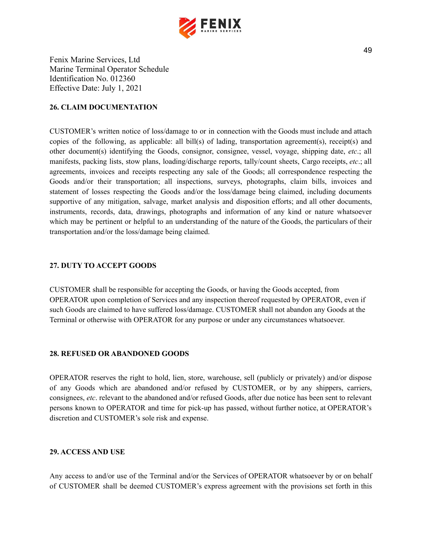

#### <span id="page-49-0"></span>**26. CLAIM DOCUMENTATION**

CUSTOMER's written notice of loss/damage to or in connection with the Goods must include and attach copies of the following, as applicable: all bill(s) of lading, transportation agreement(s), receipt(s) and other document(s) identifying the Goods, consignor, consignee, vessel, voyage, shipping date, *etc*.; all manifests, packing lists, stow plans, loading/discharge reports, tally/count sheets, Cargo receipts, *etc*.; all agreements, invoices and receipts respecting any sale of the Goods; all correspondence respecting the Goods and/or their transportation; all inspections, surveys, photographs, claim bills, invoices and statement of losses respecting the Goods and/or the loss/damage being claimed, including documents supportive of any mitigation, salvage, market analysis and disposition efforts; and all other documents, instruments, records, data, drawings, photographs and information of any kind or nature whatsoever which may be pertinent or helpful to an understanding of the nature of the Goods, the particulars of their transportation and/or the loss/damage being claimed.

## <span id="page-49-1"></span>**27. DUTY TO ACCEPT GOODS**

CUSTOMER shall be responsible for accepting the Goods, or having the Goods accepted, from OPERATOR upon completion of Services and any inspection thereof requested by OPERATOR, even if such Goods are claimed to have suffered loss/damage. CUSTOMER shall not abandon any Goods at the Terminal or otherwise with OPERATOR for any purpose or under any circumstances whatsoever.

#### <span id="page-49-2"></span>**28. REFUSED OR ABANDONED GOODS**

OPERATOR reserves the right to hold, lien, store, warehouse, sell (publicly or privately) and/or dispose of any Goods which are abandoned and/or refused by CUSTOMER, or by any shippers, carriers, consignees, *etc*. relevant to the abandoned and/or refused Goods, after due notice has been sent to relevant persons known to OPERATOR and time for pick-up has passed, without further notice, at OPERATOR's discretion and CUSTOMER's sole risk and expense.

#### <span id="page-49-3"></span>**29. ACCESS AND USE**

Any access to and/or use of the Terminal and/or the Services of OPERATOR whatsoever by or on behalf of CUSTOMER shall be deemed CUSTOMER's express agreement with the provisions set forth in this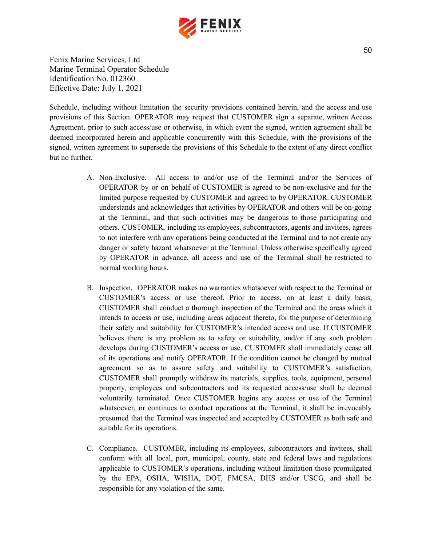

Schedule, including without limitation the security provisions contained herein, and the access and use provisions of this Section. OPERATOR may request that CUSTOMER sign a separate, written Access Agreement, prior to such access/use or otherwise, in which event the signed, written agreement shall be deemed incorporated herein and applicable concurrently with this Schedule, with the provisions of the signed, written agreement to supersede the provisions of this Schedule to the extent of any direct conflict but no further.

- A. Non-Exclusive. All access to and/or use of the Terminal and/or the Services of OPERATOR by or on behalf of CUSTOMER is agreed to be non-exclusive and for the limited purpose requested by CUSTOMER and agreed to by OPERATOR. CUSTOMER understands and acknowledges that activities by OPERATOR and others will be on-going at the Terminal, and that such activities may be dangerous to those participating and others. CUSTOMER, including its employees, subcontractors, agents and invitees, agrees to not interfere with any operations being conducted at the Terminal and to not create any danger or safety hazard whatsoever at the Terminal. Unless otherwise specifically agreed by OPERATOR in advance, all access and use of the Terminal shall be restricted to normal working hours.
- B. Inspection. OPERATOR makes no warranties whatsoever with respect to the Terminal or CUSTOMER's access or use thereof. Prior to access, on at least a daily basis, CUSTOMER shall conduct a thorough inspection of the Terminal and the areas which it intends to access or use, including areas adjacent thereto, for the purpose of determining their safety and suitability for CUSTOMER's intended access and use. If CUSTOMER believes there is any problem as to safety or suitability, and/or if any such problem develops during CUSTOMER's access or use, CUSTOMER shall immediately cease all of its operations and notify OPERATOR. If the condition cannot be changed by mutual agreement so as to assure safety and suitability to CUSTOMER's satisfaction, CUSTOMER shall promptly withdraw its materials, supplies, tools, equipment, personal property, employees and subcontractors and its requested access/use shall be deemed voluntarily terminated. Once CUSTOMER begins any access or use of the Terminal whatsoever, or continues to conduct operations at the Terminal, it shall be irrevocably presumed that the Terminal was inspected and accepted by CUSTOMER as both safe and suitable for its operations.
- C. Compliance. CUSTOMER, including its employees, subcontractors and invitees, shall conform with all local, port, municipal, county, state and federal laws and regulations applicable to CUSTOMER's operations, including without limitation those promulgated by the EPA, OSHA, WISHA, DOT, FMCSA, DHS and/or USCG, and shall be responsible for any violation of the same.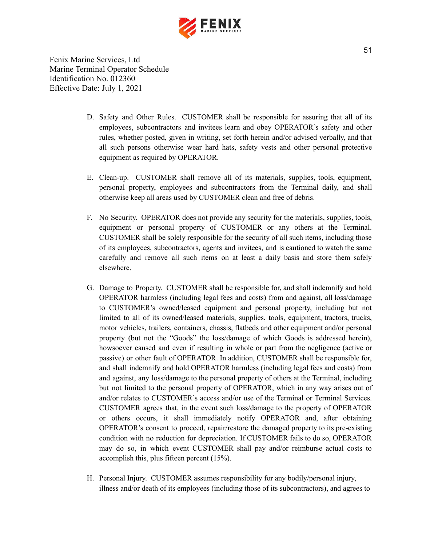

- D. Safety and Other Rules. CUSTOMER shall be responsible for assuring that all of its employees, subcontractors and invitees learn and obey OPERATOR's safety and other rules, whether posted, given in writing, set forth herein and/or advised verbally, and that all such persons otherwise wear hard hats, safety vests and other personal protective equipment as required by OPERATOR.
- E. Clean-up. CUSTOMER shall remove all of its materials, supplies, tools, equipment, personal property, employees and subcontractors from the Terminal daily, and shall otherwise keep all areas used by CUSTOMER clean and free of debris.
- F. No Security. OPERATOR does not provide any security for the materials, supplies, tools, equipment or personal property of CUSTOMER or any others at the Terminal. CUSTOMER shall be solely responsible for the security of all such items, including those of its employees, subcontractors, agents and invitees, and is cautioned to watch the same carefully and remove all such items on at least a daily basis and store them safely elsewhere.
- G. Damage to Property. CUSTOMER shall be responsible for, and shall indemnify and hold OPERATOR harmless (including legal fees and costs) from and against, all loss/damage to CUSTOMER's owned/leased equipment and personal property, including but not limited to all of its owned/leased materials, supplies, tools, equipment, tractors, trucks, motor vehicles, trailers, containers, chassis, flatbeds and other equipment and/or personal property (but not the "Goods" the loss/damage of which Goods is addressed herein), howsoever caused and even if resulting in whole or part from the negligence (active or passive) or other fault of OPERATOR. In addition, CUSTOMER shall be responsible for, and shall indemnify and hold OPERATOR harmless (including legal fees and costs) from and against, any loss/damage to the personal property of others at the Terminal, including but not limited to the personal property of OPERATOR, which in any way arises out of and/or relates to CUSTOMER's access and/or use of the Terminal or Terminal Services. CUSTOMER agrees that, in the event such loss/damage to the property of OPERATOR or others occurs, it shall immediately notify OPERATOR and, after obtaining OPERATOR's consent to proceed, repair/restore the damaged property to its pre-existing condition with no reduction for depreciation. If CUSTOMER fails to do so, OPERATOR may do so, in which event CUSTOMER shall pay and/or reimburse actual costs to accomplish this, plus fifteen percent (15%).
- H. Personal Injury. CUSTOMER assumes responsibility for any bodily/personal injury, illness and/or death of its employees (including those of its subcontractors), and agrees to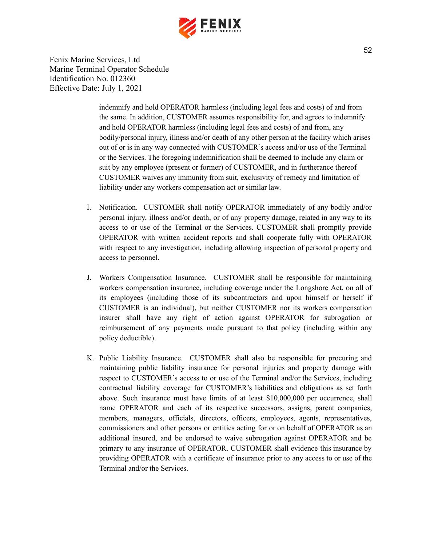

> indemnify and hold OPERATOR harmless (including legal fees and costs) of and from the same. In addition, CUSTOMER assumes responsibility for, and agrees to indemnify and hold OPERATOR harmless (including legal fees and costs) of and from, any bodily/personal injury, illness and/or death of any other person at the facility which arises out of or is in any way connected with CUSTOMER's access and/or use of the Terminal or the Services. The foregoing indemnification shall be deemed to include any claim or suit by any employee (present or former) of CUSTOMER, and in furtherance thereof CUSTOMER waives any immunity from suit, exclusivity of remedy and limitation of liability under any workers compensation act or similar law.

- I. Notification. CUSTOMER shall notify OPERATOR immediately of any bodily and/or personal injury, illness and/or death, or of any property damage, related in any way to its access to or use of the Terminal or the Services. CUSTOMER shall promptly provide OPERATOR with written accident reports and shall cooperate fully with OPERATOR with respect to any investigation, including allowing inspection of personal property and access to personnel.
- J. Workers Compensation Insurance. CUSTOMER shall be responsible for maintaining workers compensation insurance, including coverage under the Longshore Act, on all of its employees (including those of its subcontractors and upon himself or herself if CUSTOMER is an individual), but neither CUSTOMER nor its workers compensation insurer shall have any right of action against OPERATOR for subrogation or reimbursement of any payments made pursuant to that policy (including within any policy deductible).
- K. Public Liability Insurance. CUSTOMER shall also be responsible for procuring and maintaining public liability insurance for personal injuries and property damage with respect to CUSTOMER's access to or use of the Terminal and/or the Services, including contractual liability coverage for CUSTOMER's liabilities and obligations as set forth above. Such insurance must have limits of at least \$10,000,000 per occurrence, shall name OPERATOR and each of its respective successors, assigns, parent companies, members, managers, officials, directors, officers, employees, agents, representatives, commissioners and other persons or entities acting for or on behalf of OPERATOR as an additional insured, and be endorsed to waive subrogation against OPERATOR and be primary to any insurance of OPERATOR. CUSTOMER shall evidence this insurance by providing OPERATOR with a certificate of insurance prior to any access to or use of the Terminal and/or the Services.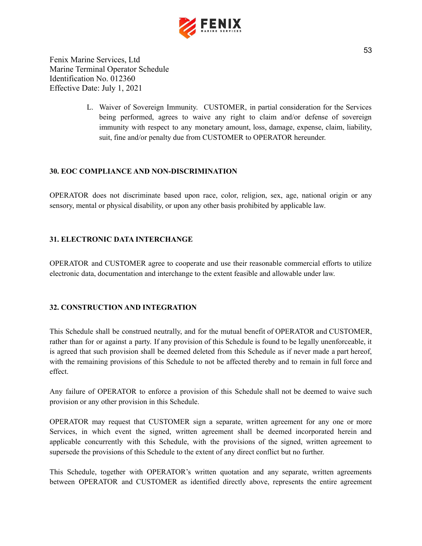

> L. Waiver of Sovereign Immunity. CUSTOMER, in partial consideration for the Services being performed, agrees to waive any right to claim and/or defense of sovereign immunity with respect to any monetary amount, loss, damage, expense, claim, liability, suit, fine and/or penalty due from CUSTOMER to OPERATOR hereunder.

## <span id="page-53-0"></span>**30. EOC COMPLIANCE AND NON-DISCRIMINATION**

OPERATOR does not discriminate based upon race, color, religion, sex, age, national origin or any sensory, mental or physical disability, or upon any other basis prohibited by applicable law.

## <span id="page-53-1"></span>**31. ELECTRONIC DATA INTERCHANGE**

OPERATOR and CUSTOMER agree to cooperate and use their reasonable commercial efforts to utilize electronic data, documentation and interchange to the extent feasible and allowable under law.

#### <span id="page-53-2"></span>**32. CONSTRUCTION AND INTEGRATION**

This Schedule shall be construed neutrally, and for the mutual benefit of OPERATOR and CUSTOMER, rather than for or against a party. If any provision of this Schedule is found to be legally unenforceable, it is agreed that such provision shall be deemed deleted from this Schedule as if never made a part hereof, with the remaining provisions of this Schedule to not be affected thereby and to remain in full force and effect.

Any failure of OPERATOR to enforce a provision of this Schedule shall not be deemed to waive such provision or any other provision in this Schedule.

OPERATOR may request that CUSTOMER sign a separate, written agreement for any one or more Services, in which event the signed, written agreement shall be deemed incorporated herein and applicable concurrently with this Schedule, with the provisions of the signed, written agreement to supersede the provisions of this Schedule to the extent of any direct conflict but no further.

This Schedule, together with OPERATOR's written quotation and any separate, written agreements between OPERATOR and CUSTOMER as identified directly above, represents the entire agreement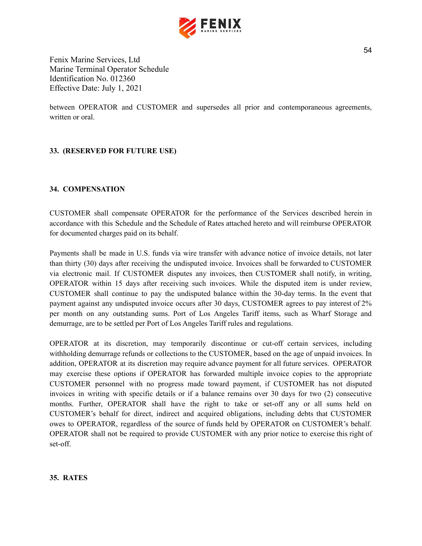

between OPERATOR and CUSTOMER and supersedes all prior and contemporaneous agreements, written or oral.

## <span id="page-54-0"></span>**33. (RESERVED FOR FUTURE USE)**

#### <span id="page-54-1"></span>**34. COMPENSATION**

CUSTOMER shall compensate OPERATOR for the performance of the Services described herein in accordance with this Schedule and the Schedule of Rates attached hereto and will reimburse OPERATOR for documented charges paid on its behalf.

Payments shall be made in U.S. funds via wire transfer with advance notice of invoice details, not later than thirty (30) days after receiving the undisputed invoice. Invoices shall be forwarded to CUSTOMER via electronic mail. If CUSTOMER disputes any invoices, then CUSTOMER shall notify, in writing, OPERATOR within 15 days after receiving such invoices. While the disputed item is under review, CUSTOMER shall continue to pay the undisputed balance within the 30-day terms. In the event that payment against any undisputed invoice occurs after 30 days, CUSTOMER agrees to pay interest of 2% per month on any outstanding sums. Port of Los Angeles Tariff items, such as Wharf Storage and demurrage, are to be settled per Port of Los Angeles Tariff rules and regulations.

OPERATOR at its discretion, may temporarily discontinue or cut-off certain services, including withholding demurrage refunds or collections to the CUSTOMER, based on the age of unpaid invoices. In addition, OPERATOR at its discretion may require advance payment for all future services. OPERATOR may exercise these options if OPERATOR has forwarded multiple invoice copies to the appropriate CUSTOMER personnel with no progress made toward payment, if CUSTOMER has not disputed invoices in writing with specific details or if a balance remains over 30 days for two (2) consecutive months. Further, OPERATOR shall have the right to take or set-off any or all sums held on CUSTOMER's behalf for direct, indirect and acquired obligations, including debts that CUSTOMER owes to OPERATOR, regardless of the source of funds held by OPERATOR on CUSTOMER's behalf. OPERATOR shall not be required to provide CUSTOMER with any prior notice to exercise this right of set-off.

#### <span id="page-54-2"></span>**35. RATES**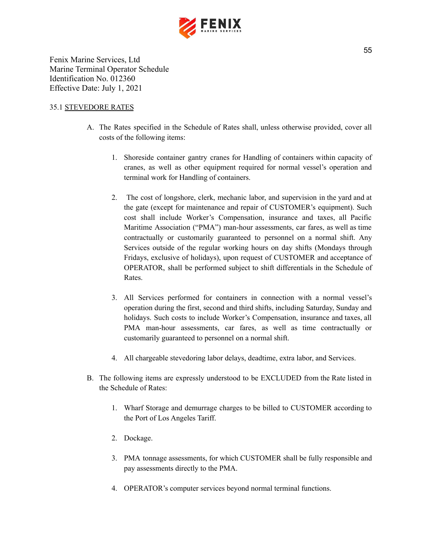

#### 35.1 STEVEDORE RATES

- A. The Rates specified in the Schedule of Rates shall, unless otherwise provided, cover all costs of the following items:
	- 1. Shoreside container gantry cranes for Handling of containers within capacity of cranes, as well as other equipment required for normal vessel's operation and terminal work for Handling of containers.
	- 2. The cost of longshore, clerk, mechanic labor, and supervision in the yard and at the gate (except for maintenance and repair of CUSTOMER's equipment). Such cost shall include Worker's Compensation, insurance and taxes, all Pacific Maritime Association ("PMA") man-hour assessments, car fares, as well as time contractually or customarily guaranteed to personnel on a normal shift. Any Services outside of the regular working hours on day shifts (Mondays through Fridays, exclusive of holidays), upon request of CUSTOMER and acceptance of OPERATOR, shall be performed subject to shift differentials in the Schedule of Rates.
	- 3. All Services performed for containers in connection with a normal vessel's operation during the first, second and third shifts, including Saturday, Sunday and holidays. Such costs to include Worker's Compensation, insurance and taxes, all PMA man-hour assessments, car fares, as well as time contractually or customarily guaranteed to personnel on a normal shift.
	- 4. All chargeable stevedoring labor delays, deadtime, extra labor, and Services.
- B. The following items are expressly understood to be EXCLUDED from the Rate listed in the Schedule of Rates:
	- 1. Wharf Storage and demurrage charges to be billed to CUSTOMER according to the Port of Los Angeles Tariff.
	- 2. Dockage.
	- 3. PMA tonnage assessments, for which CUSTOMER shall be fully responsible and pay assessments directly to the PMA.
	- 4. OPERATOR's computer services beyond normal terminal functions.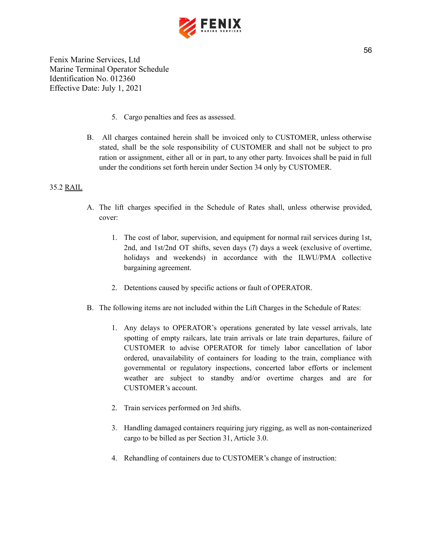

- 5. Cargo penalties and fees as assessed.
- B. All charges contained herein shall be invoiced only to CUSTOMER, unless otherwise stated, shall be the sole responsibility of CUSTOMER and shall not be subject to pro ration or assignment, either all or in part, to any other party. Invoices shall be paid in full under the conditions set forth herein under Section 34 only by CUSTOMER.

## 35.2 RAIL

- A. The lift charges specified in the Schedule of Rates shall, unless otherwise provided, cover:
	- 1. The cost of labor, supervision, and equipment for normal rail services during 1st, 2nd, and 1st/2nd OT shifts, seven days (7) days a week (exclusive of overtime, holidays and weekends) in accordance with the ILWU/PMA collective bargaining agreement.
	- 2. Detentions caused by specific actions or fault of OPERATOR.
- B. The following items are not included within the Lift Charges in the Schedule of Rates:
	- 1. Any delays to OPERATOR's operations generated by late vessel arrivals, late spotting of empty railcars, late train arrivals or late train departures, failure of CUSTOMER to advise OPERATOR for timely labor cancellation of labor ordered, unavailability of containers for loading to the train, compliance with governmental or regulatory inspections, concerted labor efforts or inclement weather are subject to standby and/or overtime charges and are for CUSTOMER's account.
	- 2. Train services performed on 3rd shifts.
	- 3. Handling damaged containers requiring jury rigging, as well as non-containerized cargo to be billed as per Section 31, Article 3.0.
	- 4. Rehandling of containers due to CUSTOMER's change of instruction: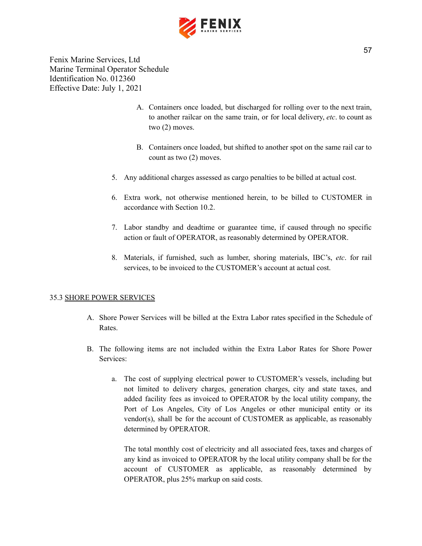

- A. Containers once loaded, but discharged for rolling over to the next train, to another railcar on the same train, or for local delivery, *etc*. to count as two (2) moves.
- B. Containers once loaded, but shifted to another spot on the same rail car to count as two (2) moves.
- 5. Any additional charges assessed as cargo penalties to be billed at actual cost.
- 6. Extra work, not otherwise mentioned herein, to be billed to CUSTOMER in accordance with Section 10.2.
- 7. Labor standby and deadtime or guarantee time, if caused through no specific action or fault of OPERATOR, as reasonably determined by OPERATOR.
- 8. Materials, if furnished, such as lumber, shoring materials, IBC's, *etc*. for rail services, to be invoiced to the CUSTOMER's account at actual cost.

#### 35.3 SHORE POWER SERVICES

- A. Shore Power Services will be billed at the Extra Labor rates specified in the Schedule of **Rates**.
- B. The following items are not included within the Extra Labor Rates for Shore Power Services:
	- a. The cost of supplying electrical power to CUSTOMER's vessels, including but not limited to delivery charges, generation charges, city and state taxes, and added facility fees as invoiced to OPERATOR by the local utility company, the Port of Los Angeles, City of Los Angeles or other municipal entity or its vendor(s), shall be for the account of CUSTOMER as applicable, as reasonably determined by OPERATOR.

The total monthly cost of electricity and all associated fees, taxes and charges of any kind as invoiced to OPERATOR by the local utility company shall be for the account of CUSTOMER as applicable, as reasonably determined by OPERATOR, plus 25% markup on said costs.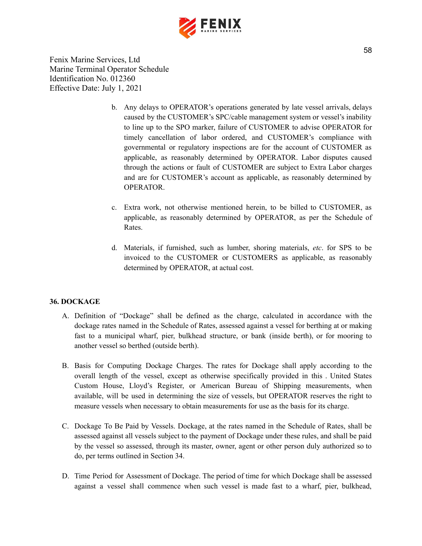

- b. Any delays to OPERATOR's operations generated by late vessel arrivals, delays caused by the CUSTOMER's SPC/cable management system or vessel's inability to line up to the SPO marker, failure of CUSTOMER to advise OPERATOR for timely cancellation of labor ordered, and CUSTOMER's compliance with governmental or regulatory inspections are for the account of CUSTOMER as applicable, as reasonably determined by OPERATOR. Labor disputes caused through the actions or fault of CUSTOMER are subject to Extra Labor charges and are for CUSTOMER's account as applicable, as reasonably determined by OPERATOR.
- c. Extra work, not otherwise mentioned herein, to be billed to CUSTOMER, as applicable, as reasonably determined by OPERATOR, as per the Schedule of Rates.
- d. Materials, if furnished, such as lumber, shoring materials, *etc*. for SPS to be invoiced to the CUSTOMER or CUSTOMERS as applicable, as reasonably determined by OPERATOR, at actual cost.

#### <span id="page-58-0"></span>**36. DOCKAGE**

- A. Definition of "Dockage" shall be defined as the charge, calculated in accordance with the dockage rates named in the Schedule of Rates, assessed against a vessel for berthing at or making fast to a municipal wharf, pier, bulkhead structure, or bank (inside berth), or for mooring to another vessel so berthed (outside berth).
- B. Basis for Computing Dockage Charges. The rates for Dockage shall apply according to the overall length of the vessel, except as otherwise specifically provided in this . United States Custom House, Lloyd's Register, or American Bureau of Shipping measurements, when available, will be used in determining the size of vessels, but OPERATOR reserves the right to measure vessels when necessary to obtain measurements for use as the basis for its charge.
- C. Dockage To Be Paid by Vessels. Dockage, at the rates named in the Schedule of Rates, shall be assessed against all vessels subject to the payment of Dockage under these rules, and shall be paid by the vessel so assessed, through its master, owner, agent or other person duly authorized so to do, per terms outlined in Section 34.
- D. Time Period for Assessment of Dockage. The period of time for which Dockage shall be assessed against a vessel shall commence when such vessel is made fast to a wharf, pier, bulkhead,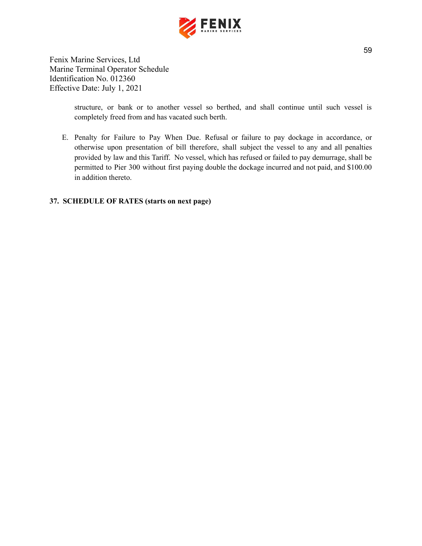

> structure, or bank or to another vessel so berthed, and shall continue until such vessel is completely freed from and has vacated such berth.

E. Penalty for Failure to Pay When Due. Refusal or failure to pay dockage in accordance, or otherwise upon presentation of bill therefore, shall subject the vessel to any and all penalties provided by law and this Tariff. No vessel, which has refused or failed to pay demurrage, shall be permitted to Pier 300 without first paying double the dockage incurred and not paid, and \$100.00 in addition thereto.

## **37. SCHEDULE OF RATES (starts on next page)**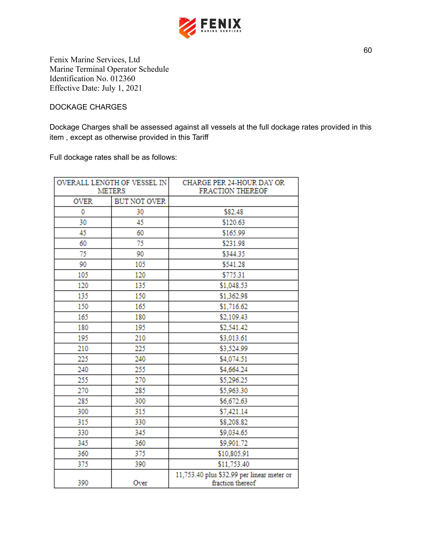

DOCKAGE CHARGES

Dockage Charges shall be assessed against all vessels at the full dockage rates provided in this item , except as otherwise provided in this Tariff

Full dockage rates shall be as follows:

| OVERALL LENGTH OF VESSEL IN<br><b>METERS</b> |                     | CHARGE PER 24-HOUR DAY OR<br>FRACTION THEREOF                  |
|----------------------------------------------|---------------------|----------------------------------------------------------------|
|                                              |                     |                                                                |
| <b>OVER</b>                                  | <b>BUT NOT OVER</b> |                                                                |
| 0                                            | 30                  | \$82.48                                                        |
| 30                                           | 45                  | \$120.63                                                       |
| 45                                           | 60                  | \$165.99                                                       |
| 60                                           | 75                  | \$231.98                                                       |
| 75                                           | 90                  | \$344.35                                                       |
| 90                                           | 105                 | \$541.28                                                       |
| 105                                          | 120                 | \$775.31                                                       |
| 120                                          | 135                 | \$1,048.53                                                     |
| 135                                          | 150                 | \$1,362.98                                                     |
| 150                                          | 165                 | \$1,716.62                                                     |
| 165                                          | 180                 | \$2,109.43                                                     |
| 180                                          | 195                 | \$2,541.42                                                     |
| 195                                          | 210                 | \$3,013.61                                                     |
| 210                                          | 225                 | \$3,524.99                                                     |
| 225                                          | 240                 | \$4,074.51                                                     |
| 240                                          | 255                 | \$4,664.24                                                     |
| 255                                          | 270                 | \$5,296.25                                                     |
| 270                                          | 285                 | \$5,963.30                                                     |
| 285                                          | 300                 | \$6,672.63                                                     |
| 300                                          | 315                 | \$7,421.14                                                     |
| 315                                          | 330                 | \$8,208.82                                                     |
| 330                                          | 345                 | \$9,034.65                                                     |
| 345                                          | 360                 | \$9,901.72                                                     |
| 360                                          | 375                 | \$10,805.91                                                    |
| 375                                          | 390                 | \$11,753.40                                                    |
| 390                                          | Over                | 11,753.40 plus \$32.99 per linear meter or<br>fraction thereof |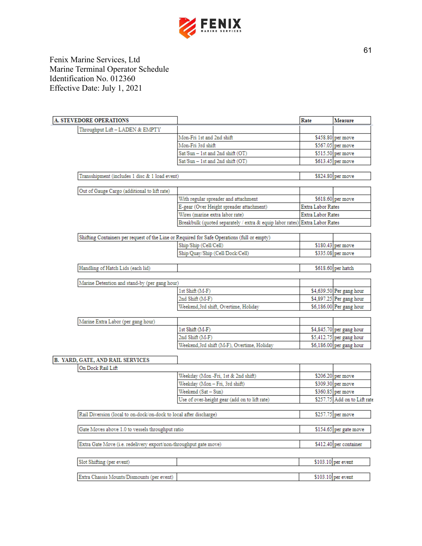

| <b>A. STEVEDORE OPERATIONS</b>                                     |                                                                                             | Rate                     | <b>Measure</b>               |
|--------------------------------------------------------------------|---------------------------------------------------------------------------------------------|--------------------------|------------------------------|
| Throughput Lift - LADEN & EMPTY                                    |                                                                                             |                          |                              |
|                                                                    | Mon-Fri 1st and 2nd shift                                                                   |                          | \$458.80 per move            |
|                                                                    | Mon-Fri 3rd shift                                                                           |                          | \$567.05 per move            |
|                                                                    | Sat/Sun - 1st and 2nd shift (OT)                                                            |                          | \$515.50 per move            |
|                                                                    | Sat/Sun - 1st and 2nd shift (OT)                                                            |                          | \$613.45 per move            |
| Transshipment (includes 1 disc & 1 load event)                     |                                                                                             |                          | \$824.80 per move            |
| Out of Gauge Cargo (additional to lift rate)                       |                                                                                             |                          |                              |
|                                                                    | With regular spreader and attachment                                                        |                          | \$618.60 per move            |
|                                                                    | E-gear (Over Height spreader attachment)                                                    | <b>Extra Labor Rates</b> |                              |
|                                                                    | Wires (marine extra labor rate)                                                             | <b>Extra Labor Rates</b> |                              |
|                                                                    | Breakbulk (quoted separately / extra & equip labor rates)                                   | <b>Extra Labor Rates</b> |                              |
|                                                                    |                                                                                             |                          |                              |
|                                                                    | Shifting Containers per request of the Line or Required for Safe Operations (full or empty) |                          |                              |
|                                                                    | Ship/Ship (Cell/Cell)                                                                       |                          | $$180.43$ per move           |
|                                                                    | Ship/Quay/Ship (Cell/Dock/Cell)                                                             |                          | \$335.08 per move            |
| Handling of Hatch Lids (each lid)                                  |                                                                                             |                          | \$618.60 per hatch           |
| Marine Detention and stand-by (per gang hour)                      |                                                                                             |                          |                              |
|                                                                    | 1st Shift (M-F)                                                                             |                          | \$4,639.50 Per gang hour     |
|                                                                    | 2nd Shift (M-F)                                                                             |                          | \$4,897.25 Per gang hour     |
|                                                                    | Weekend,3rd shift, Overtime, Holiday                                                        |                          | \$6,186.00 Per gang hour     |
| Marine Extra Labor (per gang hour)                                 |                                                                                             |                          |                              |
|                                                                    | 1st Shift (M-F)                                                                             |                          | \$4,845.70 per gang hour     |
|                                                                    | 2nd Shift (M-F)                                                                             |                          | $$5,412.75$ per gang hour    |
|                                                                    | Weekend, 3rd shift (M-F), Overtime, Holiday                                                 |                          | \$6,186.00 per gang hour     |
|                                                                    |                                                                                             |                          |                              |
| <b>B. YARD, GATE, AND RAIL SERVICES</b><br>On Dock Rail Lift       |                                                                                             |                          |                              |
|                                                                    | Weekday (Mon-Fri, 1st & 2nd shift)                                                          |                          | \$206.20 per move            |
|                                                                    | Weekday (Mon-Fri, 3rd shift)                                                                |                          | \$309.30 per move            |
|                                                                    | Weekend (Sat - Sun)                                                                         |                          | \$360.85 per move            |
|                                                                    | Use of over-height gear (add on to lift rate)                                               |                          | \$257.75 Add on to Lift rate |
|                                                                    |                                                                                             |                          |                              |
| Rail Diversion (local to on-dock/on-dock to local after discharge) |                                                                                             |                          | \$257.75 per move            |
| Gate Moves above 1.0 to vessels throughput ratio                   |                                                                                             |                          | \$154.65 per gate move       |
| Extra Gate Move (i.e. redelivery export/non-throughput gate move)  |                                                                                             |                          | \$412.40 per container       |
| Slot Shifting (per event)                                          |                                                                                             |                          | $$103.10$ per event          |
|                                                                    |                                                                                             |                          |                              |
| Extra Chassis Mounts/Dismounts (per event)                         |                                                                                             |                          | $$103.10$ per event          |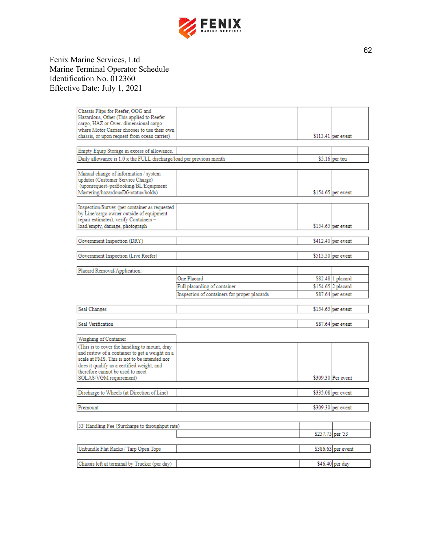

| Chassis Flips for Reefer, OOG and                                   |                                              |                  |                     |
|---------------------------------------------------------------------|----------------------------------------------|------------------|---------------------|
| Hazardous, Other (This applied to Reefer                            |                                              |                  |                     |
| cargo, HAZ or Over-dimensional cargo                                |                                              |                  |                     |
| where Motor Carrier chooses to use their own                        |                                              |                  |                     |
| chassis, or upon request from ocean carrier)                        |                                              |                  | $$113.41$ per event |
|                                                                     |                                              |                  |                     |
| Empty Equip Storage in excess of allowance.                         |                                              |                  |                     |
| Daily allowance is 1.0 x the FULL discharge/load per previous month |                                              |                  | $$5.16$ per teu     |
|                                                                     |                                              |                  |                     |
|                                                                     |                                              |                  |                     |
| Manual change of information / system                               |                                              |                  |                     |
| updates (Customer Service Charge)                                   |                                              |                  |                     |
| (uponrequest-perBooking/BL/Equipment                                |                                              |                  |                     |
| Mastering/hazardousDG/status/holds)                                 |                                              |                  | \$154.65 per event  |
|                                                                     |                                              |                  |                     |
| Inspection/Survey (per container as requested                       |                                              |                  |                     |
| by Line/cargo owner outside of equipment                            |                                              |                  |                     |
| repair estimates), verify Containers -                              |                                              |                  |                     |
| load/empty, damage, photograph                                      |                                              |                  | \$154.65 per event  |
|                                                                     |                                              |                  |                     |
| Government Inspection (DRY)                                         |                                              |                  | $$412.40$ per event |
|                                                                     |                                              |                  |                     |
|                                                                     |                                              |                  |                     |
| Government Inspection (Live Reefer)                                 |                                              |                  | $$515.50$ per event |
|                                                                     |                                              |                  |                     |
| Placard Removal/Application:                                        |                                              |                  |                     |
|                                                                     | One Placard                                  |                  | \$82.48 1 placard   |
|                                                                     | Full placarding of container                 |                  | \$154.65 2 placard  |
|                                                                     | Inspection of containers for proper placards |                  | \$87.64 per event   |
|                                                                     |                                              |                  |                     |
| Seal Changes                                                        |                                              |                  | $$154.65$ per event |
|                                                                     |                                              |                  |                     |
|                                                                     |                                              |                  |                     |
| Seal Verification                                                   |                                              |                  | $$87.64$ per event  |
|                                                                     |                                              |                  |                     |
| Weighing of Container                                               |                                              |                  |                     |
| (This is to cover the handling to mount, dray                       |                                              |                  |                     |
| and restow of a container to get a weight on a                      |                                              |                  |                     |
| scale at FMS. This is not to be intended nor                        |                                              |                  |                     |
| does it qualify as a certified weight, and                          |                                              |                  |                     |
| therefore cannot be used to meet                                    |                                              |                  |                     |
| SOLAS/VGM requirement)                                              |                                              |                  | \$309.30 Per event  |
|                                                                     |                                              |                  |                     |
| Discharge to Wheels (at Direction of Line)                          |                                              |                  | \$335.08 per event  |
|                                                                     |                                              |                  |                     |
|                                                                     |                                              |                  |                     |
| Premount                                                            |                                              |                  | $$309.30$ per event |
|                                                                     |                                              |                  |                     |
| 53' Handling Fee (Surcharge to throughput rate)                     |                                              |                  |                     |
|                                                                     |                                              |                  |                     |
|                                                                     |                                              | \$257.75 per '53 |                     |
|                                                                     |                                              |                  |                     |
| Unbundle Flat Racks / Tarp Open Tops                                |                                              |                  | \$386.63 per event  |
|                                                                     |                                              |                  |                     |
| Chassis left at terminal by Trucker (per day)                       |                                              |                  | \$46.40 per day     |
|                                                                     |                                              |                  |                     |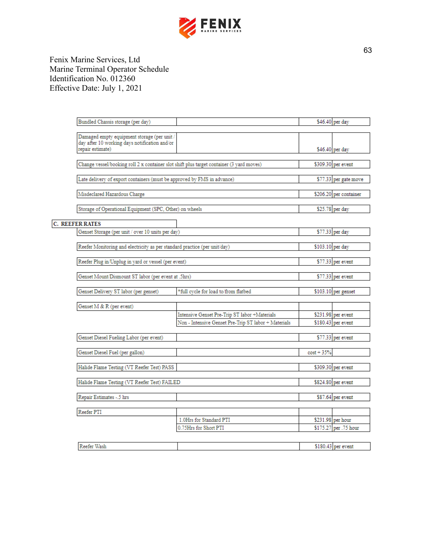

| Bundled Chassis storage (per day)                                                            |                                                                                          |              | \$46.40 per day        |
|----------------------------------------------------------------------------------------------|------------------------------------------------------------------------------------------|--------------|------------------------|
|                                                                                              |                                                                                          |              |                        |
| Damaged empty equipment storage (per unit /<br>day after 10 working days notification and/or |                                                                                          |              |                        |
| repair estimate)                                                                             |                                                                                          |              | \$46.40 per day        |
|                                                                                              | Change vessel/booking roll 2 x container slot shift plus target container (3 yard moves) |              | \$309.30 per event     |
| Late delivery of export containers (must be approved by FMS in advance)                      |                                                                                          |              | \$77.33 per gate move  |
| Misdeclared Hazardous Charge                                                                 |                                                                                          |              | \$206.20 per container |
|                                                                                              |                                                                                          |              |                        |
| Storage of Operational Equipment (SPC, Other) on wheels                                      |                                                                                          |              | \$25.78 per day        |
| <b>C. REEFER RATES</b>                                                                       |                                                                                          |              |                        |
| Genset Storage (per unit / over 10 units per day)                                            |                                                                                          |              | \$77.33 per day        |
| Reefer Monitoring and electricity as per standard practice (per unit/day)                    |                                                                                          |              | \$103.10 per day       |
| Reefer Plug in/Unplug in yard or vessel (per event)                                          |                                                                                          |              | $$77.33$ per event     |
| Genset Mount/Dismount ST labor (per event at .5hrs)                                          |                                                                                          |              | $$77.33$ per event     |
|                                                                                              |                                                                                          |              |                        |
| Genset Delivery ST labor (per genset)                                                        | *full cycle for load to/from flatbed                                                     |              | \$103.10 per genset    |
| Genset M & R (per event)                                                                     |                                                                                          |              |                        |
|                                                                                              | Intensive Genset Pre-Trip ST labor +Materials                                            |              | $$231.98$ per event    |
|                                                                                              | Non - Intensive Genset Pre-Trip ST labor + Materials                                     |              | $$180.43$ per event    |
| Genset Diesel Fueling Labor (per event)                                                      |                                                                                          |              | $$77.33$ per event     |
| Genset Diesel Fuel (per gallon)                                                              |                                                                                          | $cost + 35%$ |                        |
| Halide Flame Testing (VT Reefer Test) PASS                                                   |                                                                                          |              | \$309.30 per event     |
| Halide Flame Testing (VT Reefer Test) FAILED                                                 |                                                                                          |              | $$824.80$ per event    |
|                                                                                              |                                                                                          |              |                        |
| Repair Estimates -.5 hrs                                                                     |                                                                                          |              | \$87.64 per event      |
| Reefer PTI                                                                                   |                                                                                          |              |                        |
|                                                                                              | 1.0Hrs for Standard PTI                                                                  |              | \$231.98 per hour      |
|                                                                                              | 0.75Hrs for Short PTI                                                                    |              | \$175.27 per .75 hour  |
| Reefer Wash                                                                                  |                                                                                          |              | $$180.43$ per event    |
|                                                                                              |                                                                                          |              |                        |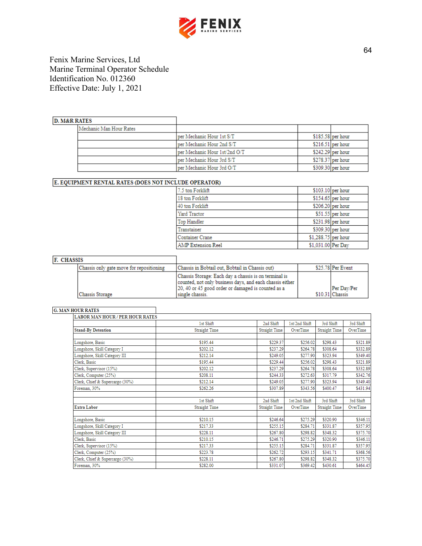

## **D. M&R RATES**

| .                       |                               |                    |                    |
|-------------------------|-------------------------------|--------------------|--------------------|
| Mechanic Man Hour Rates |                               |                    |                    |
|                         | per Mechanic Hour 1st S/T     |                    | $$185.58$ per hour |
|                         | per Mechanic Hour 2nd S/T     | $$216.51$ per hour |                    |
|                         | per Mechanic Hour 1st/2nd O/T | $$242.29$ per hour |                    |
|                         | per Mechanic Hour 3rd S/T     | $$278.37$ per hour |                    |
|                         | per Mechanic Hour 3rd O/T     | \$309.30 per hour  |                    |

## E. EQUIPMENT RENTAL RATES (DOES NOT INCLUDE OPERATOR)

٦

٦

| 7.5 ton Forklift          |                     | \$103.10 per hour  |
|---------------------------|---------------------|--------------------|
| 18 ton Forklift           |                     | \$154.65 per hour  |
| 40 ton Forklift           |                     | \$206.20 per hour  |
| Yard Tractor              |                     | $$51.55$ per hour  |
| Top Handler               |                     | $$231.98$ per hour |
| Transtainer               |                     | \$309.30 per hour  |
| <b>Container Crane</b>    | \$1,288.75 per hour |                    |
| <b>AMP Extension Reel</b> | \$1,031.00 Per Day  |                    |

## F. CHASSIS

| Chassis only gate move for repositioning | Chassis in Bobtail out. Bobtail in Chassis out)          | \$25.78 Per Event |
|------------------------------------------|----------------------------------------------------------|-------------------|
|                                          | Chassis Storage: Each day a chassis is on terminal is    |                   |
|                                          | counted, not only business days, and each chassis either |                   |
|                                          | 20, 40 or 45 good order or damaged is counted as a       | Per Dav/Per       |
| Chassis Storage                          | single chassis.                                          | \$10.31 Chassis   |

#### **G. MAN HOUR RATES**

| <b>LABOR MAN HOUR / PER HOUR RATES</b> |                      |                      |               |                      |           |
|----------------------------------------|----------------------|----------------------|---------------|----------------------|-----------|
|                                        | 1st Shift            | 2nd Shift            | 1st/2nd Shift | 3rd Shift            | 3rd Shift |
| <b>Stand-By Detention</b>              | <b>Straight Time</b> | <b>Straight Time</b> | OverTime      | <b>Straight Time</b> | OverTime  |
| Longshore, Basic                       | \$195.44             | \$229.37             | \$256.02      | \$298.43             | \$321.89  |
| Longshore, Skill Category I            | \$202.12             | \$237.29             | \$264.78      | \$308.64             | \$332.89  |
| Longshore, Skill Category III          | \$212.14             | \$249.05             | \$277.90      | \$323.94             | \$349.40  |
| Clerk, Basic                           | \$195.44             | \$229.44             | \$256.02      | \$298.43             | \$321.89  |
| Clerk, Supervisor (15%)                | \$202.12             | \$237.29             | \$264.78      | \$308.64             | \$332.89  |
| Clerk, Computer (25%)                  | \$208.11             | \$244.33             | \$272.63      | \$317.79             | \$342.76  |
| Clerk, Chief & Supercargo (30%)        | \$212.14             | \$249.05             | \$277.90      | \$323.94             | \$349.40  |
| Foreman, 30%                           | \$262.26             | \$307.89             | \$343.56      | \$400.47             | \$431.94  |
|                                        |                      |                      |               |                      |           |
|                                        | 1st Shift            | 2nd Shift            | 1st/2nd Shift | 3rd Shift            | 3rd Shift |
| <b>Extra Labor</b>                     | <b>Straight Time</b> | <b>Straight Time</b> | OverTime      | <b>Straight Time</b> | OverTime  |
| Longshore, Basic                       | \$210.15             | \$246.64             | \$275.29      | \$320.90             | \$346.11  |
| Longshore, Skill Category I            | \$217.33             | \$255.15             | \$284.71      | \$331.87             | \$357.95  |
| Longshore, Skill Category III          | \$228.11             | \$267.80             | \$298.82      | \$348.32             | \$375.70  |
| Clerk, Basic                           | \$210.15             | \$246.71             | \$275.29      | \$320.90             | \$346.11  |
| Clerk, Supervisor (15%)                | \$217.33             | \$255.15             | \$284.71      | \$331.87             | \$357.95  |
| Clerk, Computer (25%)                  | \$223.78             | \$262.72             | \$293.15      | \$341.71             | \$368.56  |
| Clerk, Chief & Supercargo (30%)        | \$228.11             | \$267.80             | \$298.82      | \$348.32             | \$375.70  |
| Foreman, 30%                           | \$282.00             | \$331.07             | \$369.42      | \$430.61             | \$464.45  |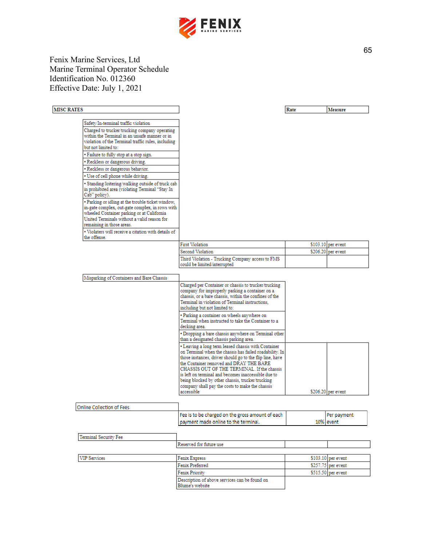

## **MISC RATES**

| Safety/In-terminal traffic violation                                                                                                                                                                                           |
|--------------------------------------------------------------------------------------------------------------------------------------------------------------------------------------------------------------------------------|
| Charged to trucker/trucking company operating<br>within the Terminal in an unsafe manner or in<br>violation of the Terminal traffic rules, including<br>but not limited to:                                                    |
| • Failure to fully stop at a stop sign.                                                                                                                                                                                        |
| • Reckless or dangerous driving.                                                                                                                                                                                               |
| • Reckless or dangerous behavior.                                                                                                                                                                                              |
| • Use of cell phone while driving.                                                                                                                                                                                             |
| · Standing/loitering/walking outside of truck cab<br>in prohibited area (violating Terminal "Stay In<br>Cab" policy).                                                                                                          |
| • Parking or idling at the trouble ticket window,<br>in-gate complex, out-gate complex, in rows with<br>wheeled Container parking or at California<br>United Terminals without a valid reason for<br>remaining in those areas. |
| • Violaters will receive a citation with details of<br>the offense.                                                                                                                                                            |

| ____ | $\sim$ |
|------|--------|
|------|--------|

| <b>First Violation</b>                                                           | $$103.10$ per event |
|----------------------------------------------------------------------------------|---------------------|
| Second Violation                                                                 | $$206.20$ per event |
| Third Violation - Trucking Company access to FMS<br>could be limited/interrupted |                     |
|                                                                                  |                     |

| Misparking of Containers and Bare Chassis |                                                                                                                                                                                                                                                                                                                                                                                 |                     |
|-------------------------------------------|---------------------------------------------------------------------------------------------------------------------------------------------------------------------------------------------------------------------------------------------------------------------------------------------------------------------------------------------------------------------------------|---------------------|
|                                           | Charged per Container or chassis to trucker/trucking<br>company for improperly parking a container on a<br>chassis, or a bare chassis, within the confines of the<br>Terminal in violation of Terminal instructions.<br>including but not limited to:                                                                                                                           |                     |
|                                           | · Parking a container on wheels anywhere on<br>Terminal when instructed to take the Container to a<br>decking area.                                                                                                                                                                                                                                                             |                     |
|                                           | • Dropping a bare chassis anywhere on Terminal other<br>than a designated chassis parking area.                                                                                                                                                                                                                                                                                 |                     |
|                                           | • Leaving a long term leased chassis with Container<br>on Terminal when the chassis has failed roadability. In<br>those instances, driver should go to the flip line, have<br>the Container removed and DRAY THE BARE<br>CHASSIS OUT OF THE TERMINAL. If the chassis<br>is left on terminal and becomes inaccessible due to<br>being blocked by other chassis, trucker/trucking |                     |
|                                           | company shall pay the costs to make the chassis<br>accessible                                                                                                                                                                                                                                                                                                                   | $$206.20$ per event |

٦

| Online Collection of Fees |                                                                  |                     |
|---------------------------|------------------------------------------------------------------|---------------------|
|                           | Fee is to be charged on the gross amount of each                 | Per payment         |
|                           | payment made online to the terminal.                             | 10% event           |
|                           |                                                                  |                     |
| Terminal Security Fee     |                                                                  |                     |
|                           | Reserved for future use                                          |                     |
|                           |                                                                  |                     |
| <b>VIP Services</b>       | <b>Fenix Express</b>                                             | $$103.10$ per event |
|                           | Fenix Preferred                                                  | $$257.75$ per event |
|                           | Fenix Priority                                                   | \$515.50 per event  |
|                           | Description of above services can be found on<br>Blume's website |                     |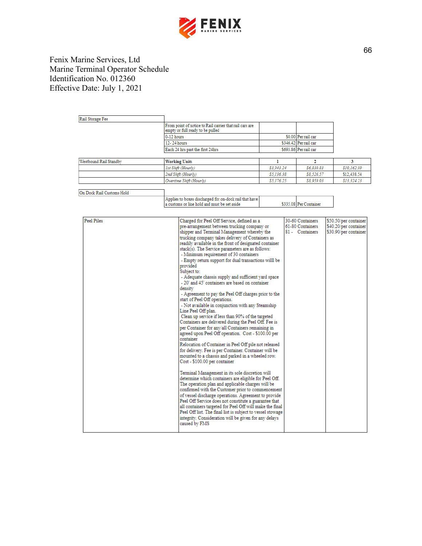

| Rail Storage Fee |                                                                                             |                       |
|------------------|---------------------------------------------------------------------------------------------|-----------------------|
|                  | From point of notice to Rail carrier that rail cars are<br>empty or full ready to be pulled |                       |
|                  | $0-12$ hours                                                                                | \$0.00 Per rail car   |
|                  | 12-24 hours                                                                                 | \$346.42 Per rail car |
|                  | Each 24 hrs past the first 24hrs                                                            | \$693.86 Per rail car |

| \$3,943.24 | \$6,830.83              | \$10.162.99 |
|------------|-------------------------|-------------|
| \$5.136.38 | \$8,526.57              | \$12,438.54 |
| \$5,176.25 | \$8,959.03              | \$13.324.23 |
|            | Overtime Shift (Hourly) |             |

| On Dock Rail Customs Hold |                                                        |                        |
|---------------------------|--------------------------------------------------------|------------------------|
|                           | Applies to boxes discharged for on-dock rail that have |                        |
|                           | a customs or line hold and must be set aside           | \$335.08 Per Container |

| <b>Peel Piles</b> | Charged for Peel Off Service, defined as a                 | 30-60 Containers | \$50.50/per container |
|-------------------|------------------------------------------------------------|------------------|-----------------------|
|                   | pre-arrangement between trucking company or                | 61-80 Containers | \$40.20/per container |
|                   | shipper and Terminal Management whereby the                | 81 - Containers  | \$30.90/per container |
|                   | trucking company takes delivery of Containers as           |                  |                       |
|                   | readily available in the front of designated container     |                  |                       |
|                   | stack(s). The Service parameters are as follows:           |                  |                       |
|                   | - Minimum requirement of 30 containers                     |                  |                       |
|                   | - Empty return support for dual transactions willl be      |                  |                       |
|                   | provided                                                   |                  |                       |
|                   | Subject to:                                                |                  |                       |
|                   | - Adequate chassis supply and sufficient yard space        |                  |                       |
|                   | - 20' and 45' containers are based on container            |                  |                       |
|                   | density                                                    |                  |                       |
|                   | - Agreement to pay the Peel Off charges prior to the       |                  |                       |
|                   | start of Peel Off operations.                              |                  |                       |
|                   | - Not available in conjunction with any Steamship          |                  |                       |
|                   | Line Peel Off plan.                                        |                  |                       |
|                   | Clean up service if less than 90% of the targeted          |                  |                       |
|                   | Containers are delivered during the Peel Off. Fee is       |                  |                       |
|                   | per Container for any/all Containers remaining in          |                  |                       |
|                   | agreed upon Peel Off operation. Cost - \$100.00 per        |                  |                       |
|                   | container                                                  |                  |                       |
|                   | Relocation of Container in Peel Off pile not released      |                  |                       |
|                   | for delivery. Fee is per Container. Container will be      |                  |                       |
|                   | mounted to a chassis and parked in a wheeled row.          |                  |                       |
|                   | Cost - \$100.00 per container                              |                  |                       |
|                   |                                                            |                  |                       |
|                   | Terminal Management in its sole discretion will            |                  |                       |
|                   | determine which containers are eligible for Peel Off.      |                  |                       |
|                   | The operation plan and applicable charges will be          |                  |                       |
|                   | confirmed with the Customer prior to commencement          |                  |                       |
|                   | of vessel discharge operations. Agreement to provide       |                  |                       |
|                   | Peel Off Service does not constitute a guarantee that      |                  |                       |
|                   | all containers targeted for Peel Off will make the final   |                  |                       |
|                   | Peel Off list. The final list is subject to vessel stowage |                  |                       |
|                   | integrity. Consideration will be given for any delays      |                  |                       |
|                   | caused by FMS                                              |                  |                       |
|                   |                                                            |                  |                       |